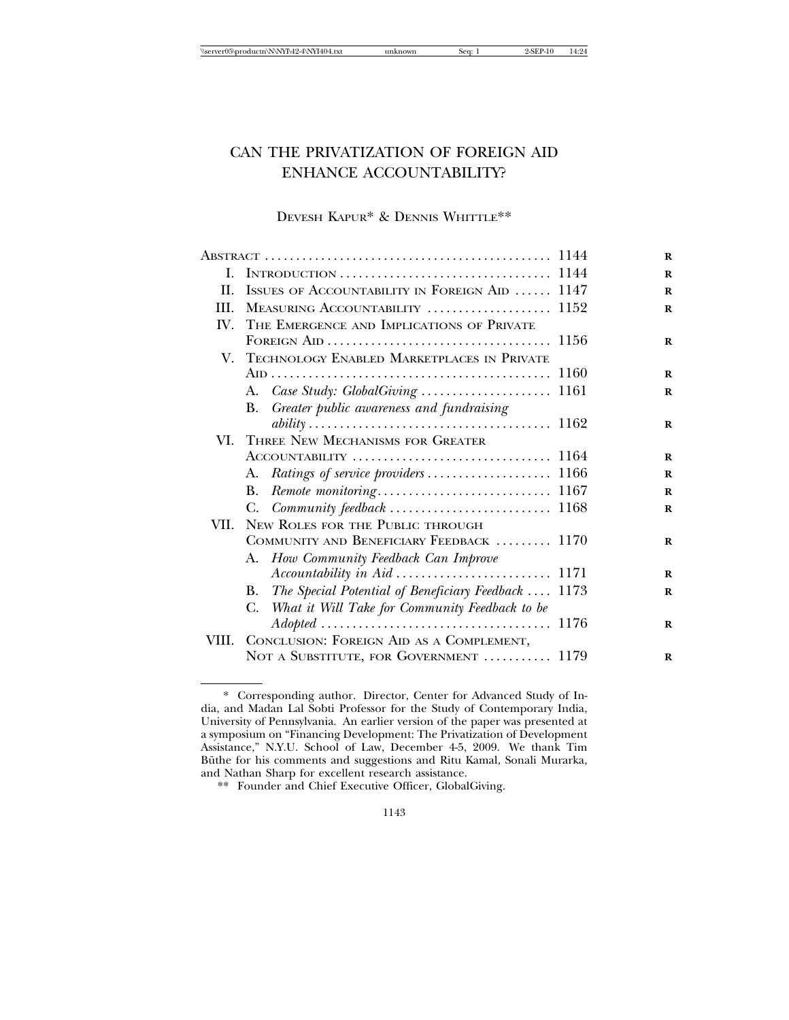# CAN THE PRIVATIZATION OF FOREIGN AID ENHANCE ACCOUNTABILITY?

## DEVESH KAPUR\* & DENNIS WHITTLE\*\*

| I.    | INTRODUCTION $\ldots \ldots \ldots \ldots \ldots \ldots \ldots \ldots \ldots \ldots \ldots 1144$ |
|-------|--------------------------------------------------------------------------------------------------|
| II.   | ISSUES OF ACCOUNTABILITY IN FOREIGN AID  1147                                                    |
| HI.   | MEASURING ACCOUNTABILITY  1152                                                                   |
| IV.   | THE EMERGENCE AND IMPLICATIONS OF PRIVATE                                                        |
|       |                                                                                                  |
|       | V. TECHNOLOGY ENABLED MARKETPLACES IN PRIVATE                                                    |
|       |                                                                                                  |
|       |                                                                                                  |
|       | Greater public awareness and fundraising<br>B.                                                   |
|       |                                                                                                  |
|       | VI. THREE NEW MECHANISMS FOR GREATER                                                             |
|       |                                                                                                  |
|       |                                                                                                  |
|       | В.                                                                                               |
|       | C. Community feedback  1168                                                                      |
| VII.  | NEW ROLES FOR THE PUBLIC THROUGH                                                                 |
|       | COMMUNITY AND BENEFICIARY FEEDBACK  1170                                                         |
|       | A. How Community Feedback Can Improve                                                            |
|       |                                                                                                  |
|       | The Special Potential of Beneficiary Feedback  1173<br>В.                                        |
|       | What it Will Take for Community Feedback to be<br>C.                                             |
|       |                                                                                                  |
| VIII. | CONCLUSION: FOREIGN AID AS A COMPLEMENT,                                                         |
|       | NOT A SUBSTITUTE, FOR GOVERNMENT  1179                                                           |

<sup>\*</sup> Corresponding author. Director, Center for Advanced Study of India, and Madan Lal Sobti Professor for the Study of Contemporary India, University of Pennsylvania. An earlier version of the paper was presented at a symposium on "Financing Development: The Privatization of Development Assistance," N.Y.U. School of Law, December 4-5, 2009. We thank Tim Büthe for his comments and suggestions and Ritu Kamal, Sonali Murarka, and Nathan Sharp for excellent research assistance.

<sup>\*\*</sup> Founder and Chief Executive Officer, GlobalGiving.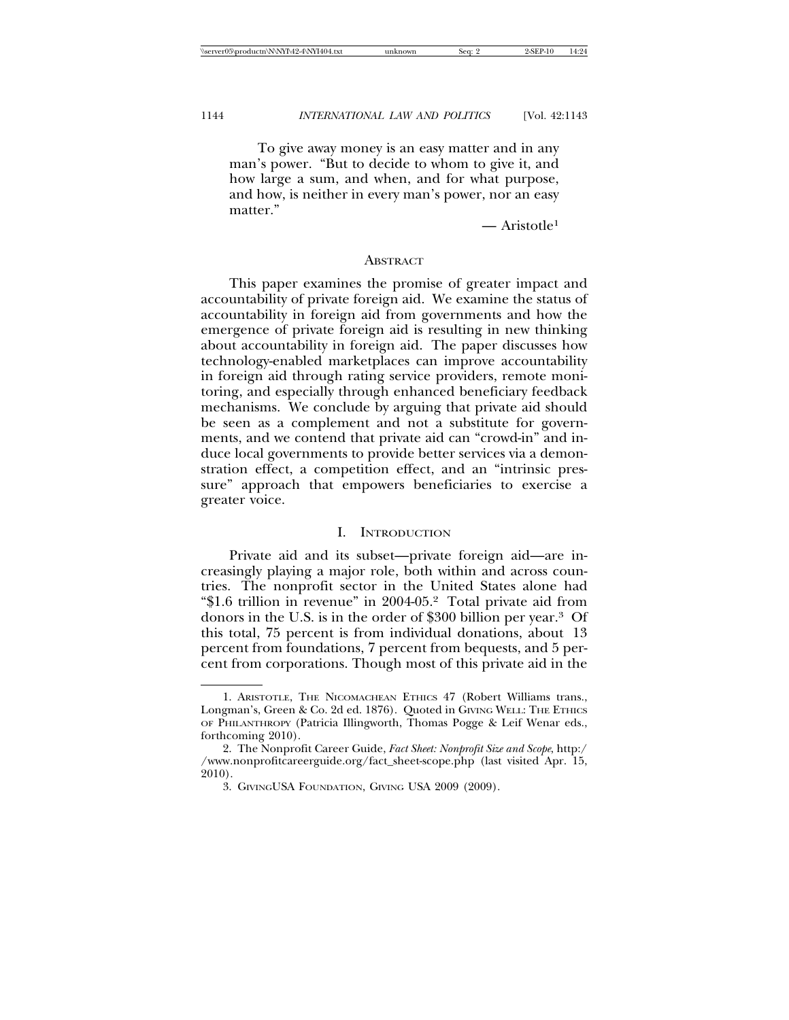To give away money is an easy matter and in any man's power. "But to decide to whom to give it, and how large a sum, and when, and for what purpose, and how, is neither in every man's power, nor an easy matter."

 $\overline{\phantom{a}}$  Aristotle<sup>1</sup>

#### **ABSTRACT**

This paper examines the promise of greater impact and accountability of private foreign aid. We examine the status of accountability in foreign aid from governments and how the emergence of private foreign aid is resulting in new thinking about accountability in foreign aid. The paper discusses how technology-enabled marketplaces can improve accountability in foreign aid through rating service providers, remote monitoring, and especially through enhanced beneficiary feedback mechanisms. We conclude by arguing that private aid should be seen as a complement and not a substitute for governments, and we contend that private aid can "crowd-in" and induce local governments to provide better services via a demonstration effect, a competition effect, and an "intrinsic pressure" approach that empowers beneficiaries to exercise a greater voice.

#### I. INTRODUCTION

Private aid and its subset—private foreign aid—are increasingly playing a major role, both within and across countries. The nonprofit sector in the United States alone had "\$1.6 trillion in revenue" in 2004-05.2 Total private aid from donors in the U.S. is in the order of \$300 billion per year.3 Of this total, 75 percent is from individual donations, about 13 percent from foundations, 7 percent from bequests, and 5 percent from corporations. Though most of this private aid in the

<sup>1.</sup> ARISTOTLE, THE NICOMACHEAN ETHICS 47 (Robert Williams trans., Longman's, Green & Co. 2d ed. 1876). Quoted in GIVING WELL: THE ETHICS OF PHILANTHROPY (Patricia Illingworth, Thomas Pogge & Leif Wenar eds., forthcoming 2010).

<sup>2.</sup> The Nonprofit Career Guide, *Fact Sheet: Nonprofit Size and Scope*, http:/ /www.nonprofitcareerguide.org/fact\_sheet-scope.php (last visited Apr. 15, 2010).

<sup>3.</sup> GIVINGUSA FOUNDATION, GIVING USA 2009 (2009).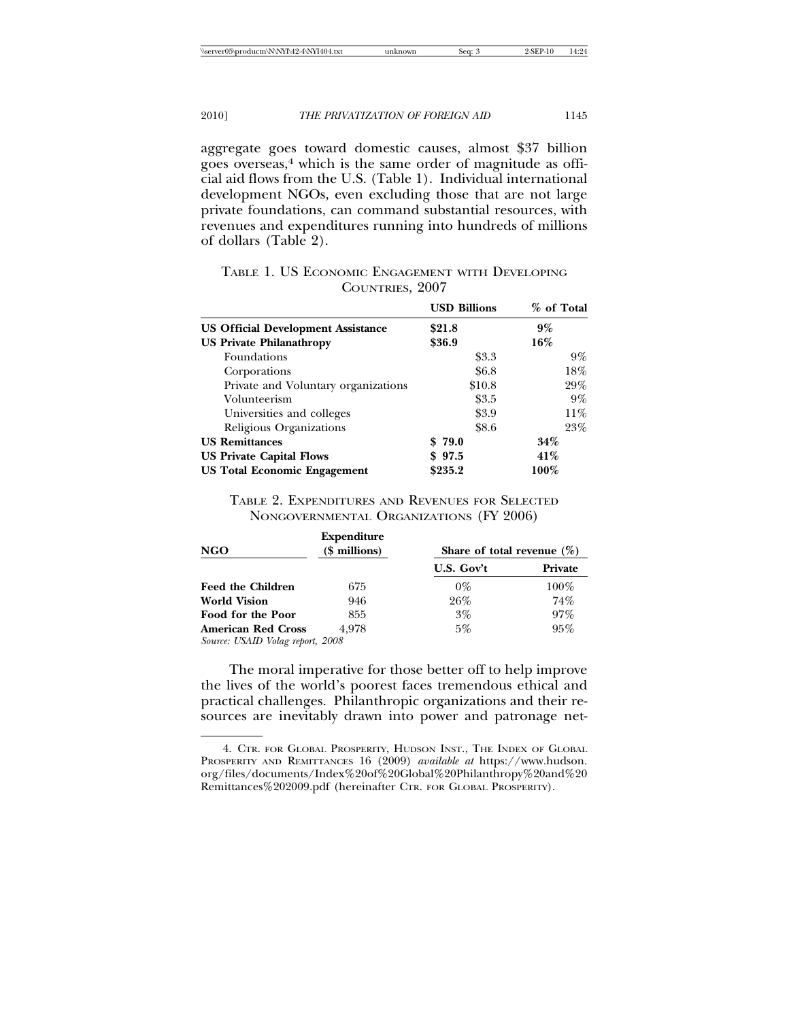aggregate goes toward domestic causes, almost \$37 billion goes overseas,<sup>4</sup> which is the same order of magnitude as official aid flows from the U.S. (Table 1). Individual international development NGOs, even excluding those that are not large private foundations, can command substantial resources, with revenues and expenditures running into hundreds of millions of dollars (Table 2).

|                                           | <b>USD Billions</b> | % of Total |
|-------------------------------------------|---------------------|------------|
| <b>US Official Development Assistance</b> | \$21.8              | $9\%$      |
| <b>US Private Philanathropy</b>           | \$36.9              | 16%        |
| Foundations                               | \$3.3               | $9\%$      |
| Corporations                              | \$6.8               | 18%        |
| Private and Voluntary organizations       | \$10.8              | 29%        |
| Volunteerism                              | \$3.5               | $9\%$      |
| Universities and colleges                 | \$3.9               | 11%        |
| Religious Organizations                   | \$8.6               | 23%        |
| <b>US Remittances</b>                     | \$79.0              | $34\%$     |
| <b>US Private Capital Flows</b>           | \$97.5              | 41%        |
| <b>US Total Economic Engagement</b>       | \$235.2             | $100\%$    |

TABLE 1. US ECONOMIC ENGAGEMENT WITH DEVELOPING COUNTRIES, 2007

TABLE 2. EXPENDITURES AND REVENUES FOR SELECTED NONGOVERNMENTAL ORGANIZATIONS (FY 2006)

| <b>NGO</b>                       | <b>Expenditure</b><br>$($$ millions) | Share of total revenue $(\%)$ |         |  |
|----------------------------------|--------------------------------------|-------------------------------|---------|--|
|                                  |                                      | U.S. Gov't                    | Private |  |
| <b>Feed the Children</b>         | 675                                  | $0\%$                         | $100\%$ |  |
| <b>World Vision</b>              | 946                                  | 26%                           | 74%     |  |
| Food for the Poor                | 855                                  | $3\%$                         | 97%     |  |
| <b>American Red Cross</b>        | 4.978                                | $5\%$                         | 95%     |  |
| Source: USAID Volag report, 2008 |                                      |                               |         |  |

The moral imperative for those better off to help improve the lives of the world's poorest faces tremendous ethical and practical challenges. Philanthropic organizations and their resources are inevitably drawn into power and patronage net-

<sup>4.</sup> CTR. FOR GLOBAL PROSPERITY, HUDSON INST., THE INDEX OF GLOBAL PROSPERITY AND REMITTANCES 16 (2009) *available at* https://www.hudson. org/files/documents/Index%20of%20Global%20Philanthropy%20and%20 Remittances%202009.pdf (hereinafter CTR. FOR GLOBAL PROSPERITY).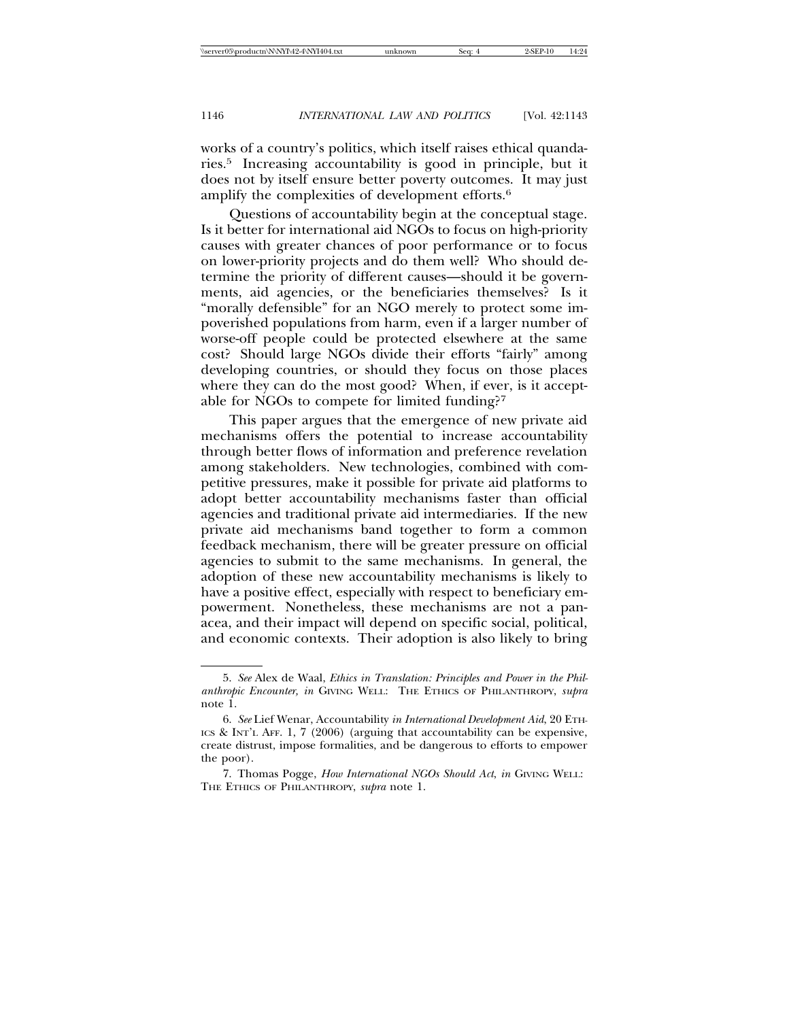works of a country's politics, which itself raises ethical quandaries.5 Increasing accountability is good in principle, but it does not by itself ensure better poverty outcomes. It may just amplify the complexities of development efforts.6

Questions of accountability begin at the conceptual stage. Is it better for international aid NGOs to focus on high-priority causes with greater chances of poor performance or to focus on lower-priority projects and do them well? Who should determine the priority of different causes—should it be governments, aid agencies, or the beneficiaries themselves? Is it "morally defensible" for an NGO merely to protect some impoverished populations from harm, even if a larger number of worse-off people could be protected elsewhere at the same cost? Should large NGOs divide their efforts "fairly" among developing countries, or should they focus on those places where they can do the most good? When, if ever, is it acceptable for NGOs to compete for limited funding?7

This paper argues that the emergence of new private aid mechanisms offers the potential to increase accountability through better flows of information and preference revelation among stakeholders. New technologies, combined with competitive pressures, make it possible for private aid platforms to adopt better accountability mechanisms faster than official agencies and traditional private aid intermediaries. If the new private aid mechanisms band together to form a common feedback mechanism, there will be greater pressure on official agencies to submit to the same mechanisms. In general, the adoption of these new accountability mechanisms is likely to have a positive effect, especially with respect to beneficiary empowerment. Nonetheless, these mechanisms are not a panacea, and their impact will depend on specific social, political, and economic contexts. Their adoption is also likely to bring

<sup>5.</sup> *See* Alex de Waal, *Ethics in Translation: Principles and Power in the Philanthropic Encounter, in* GIVING WELL: THE ETHICS OF PHILANTHROPY, *supra* note 1.

<sup>6.</sup> *See* Lief Wenar, Accountability *in International Development Aid*, 20 ETH-ICS & INT'L AFF. 1, 7 (2006) (arguing that accountability can be expensive, create distrust, impose formalities, and be dangerous to efforts to empower the poor).

<sup>7.</sup> Thomas Pogge, *How International NGOs Should Act*, *in* GIVING WELL: THE ETHICS OF PHILANTHROPY, *supra* note 1.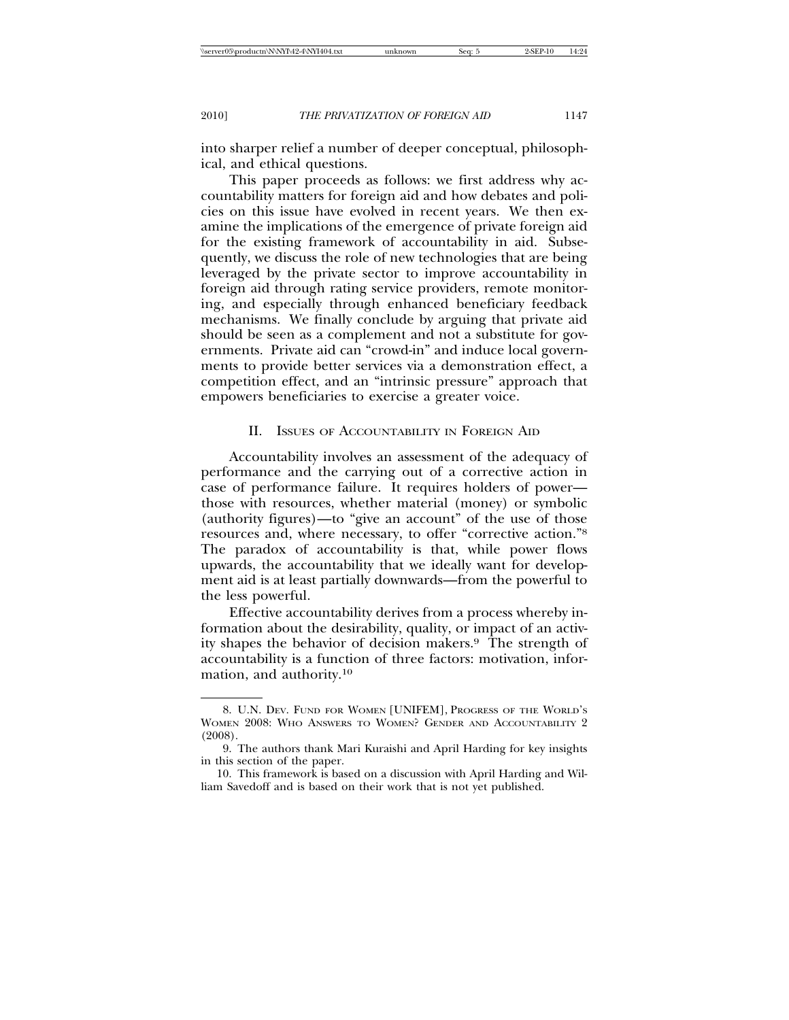into sharper relief a number of deeper conceptual, philosophical, and ethical questions.

This paper proceeds as follows: we first address why accountability matters for foreign aid and how debates and policies on this issue have evolved in recent years. We then examine the implications of the emergence of private foreign aid for the existing framework of accountability in aid. Subsequently, we discuss the role of new technologies that are being leveraged by the private sector to improve accountability in foreign aid through rating service providers, remote monitoring, and especially through enhanced beneficiary feedback mechanisms. We finally conclude by arguing that private aid should be seen as a complement and not a substitute for governments. Private aid can "crowd-in" and induce local governments to provide better services via a demonstration effect, a competition effect, and an "intrinsic pressure" approach that empowers beneficiaries to exercise a greater voice.

#### II. ISSUES OF ACCOUNTABILITY IN FOREIGN AID

Accountability involves an assessment of the adequacy of performance and the carrying out of a corrective action in case of performance failure. It requires holders of power those with resources, whether material (money) or symbolic (authority figures)—to "give an account" of the use of those resources and, where necessary, to offer "corrective action."8 The paradox of accountability is that, while power flows upwards, the accountability that we ideally want for development aid is at least partially downwards—from the powerful to the less powerful.

Effective accountability derives from a process whereby information about the desirability, quality, or impact of an activity shapes the behavior of decision makers.9 The strength of accountability is a function of three factors: motivation, information, and authority.10

<sup>8.</sup> U.N. DEV. FUND FOR WOMEN [UNIFEM], PROGRESS OF THE WORLD'S WOMEN 2008: WHO ANSWERS TO WOMEN? GENDER AND ACCOUNTABILITY 2 (2008).

<sup>9.</sup> The authors thank Mari Kuraishi and April Harding for key insights in this section of the paper.

<sup>10.</sup> This framework is based on a discussion with April Harding and William Savedoff and is based on their work that is not yet published.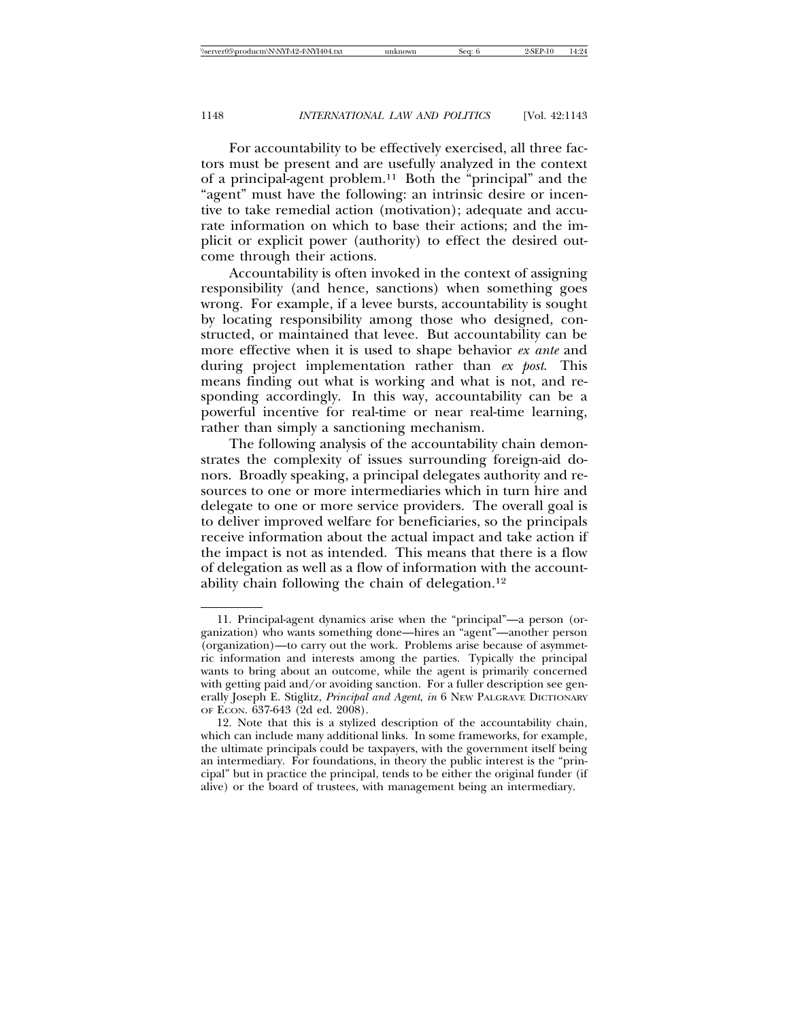For accountability to be effectively exercised, all three factors must be present and are usefully analyzed in the context of a principal-agent problem.11 Both the "principal" and the "agent" must have the following: an intrinsic desire or incentive to take remedial action (motivation); adequate and accurate information on which to base their actions; and the implicit or explicit power (authority) to effect the desired outcome through their actions.

Accountability is often invoked in the context of assigning responsibility (and hence, sanctions) when something goes wrong. For example, if a levee bursts, accountability is sought by locating responsibility among those who designed, constructed, or maintained that levee. But accountability can be more effective when it is used to shape behavior *ex ante* and during project implementation rather than *ex post*. This means finding out what is working and what is not, and responding accordingly. In this way, accountability can be a powerful incentive for real-time or near real-time learning, rather than simply a sanctioning mechanism.

The following analysis of the accountability chain demonstrates the complexity of issues surrounding foreign-aid donors. Broadly speaking, a principal delegates authority and resources to one or more intermediaries which in turn hire and delegate to one or more service providers. The overall goal is to deliver improved welfare for beneficiaries, so the principals receive information about the actual impact and take action if the impact is not as intended. This means that there is a flow of delegation as well as a flow of information with the accountability chain following the chain of delegation.12

<sup>11.</sup> Principal-agent dynamics arise when the "principal"—a person (organization) who wants something done—hires an "agent"—another person (organization)—to carry out the work. Problems arise because of asymmetric information and interests among the parties. Typically the principal wants to bring about an outcome, while the agent is primarily concerned with getting paid and/or avoiding sanction. For a fuller description see generally Joseph E. Stiglitz, *Principal and Agent*, *in* 6 NEW PALGRAVE DICTIONARY OF ECON. 637-643 (2d ed. 2008).

<sup>12.</sup> Note that this is a stylized description of the accountability chain, which can include many additional links. In some frameworks, for example, the ultimate principals could be taxpayers, with the government itself being an intermediary. For foundations, in theory the public interest is the "principal" but in practice the principal, tends to be either the original funder (if alive) or the board of trustees, with management being an intermediary.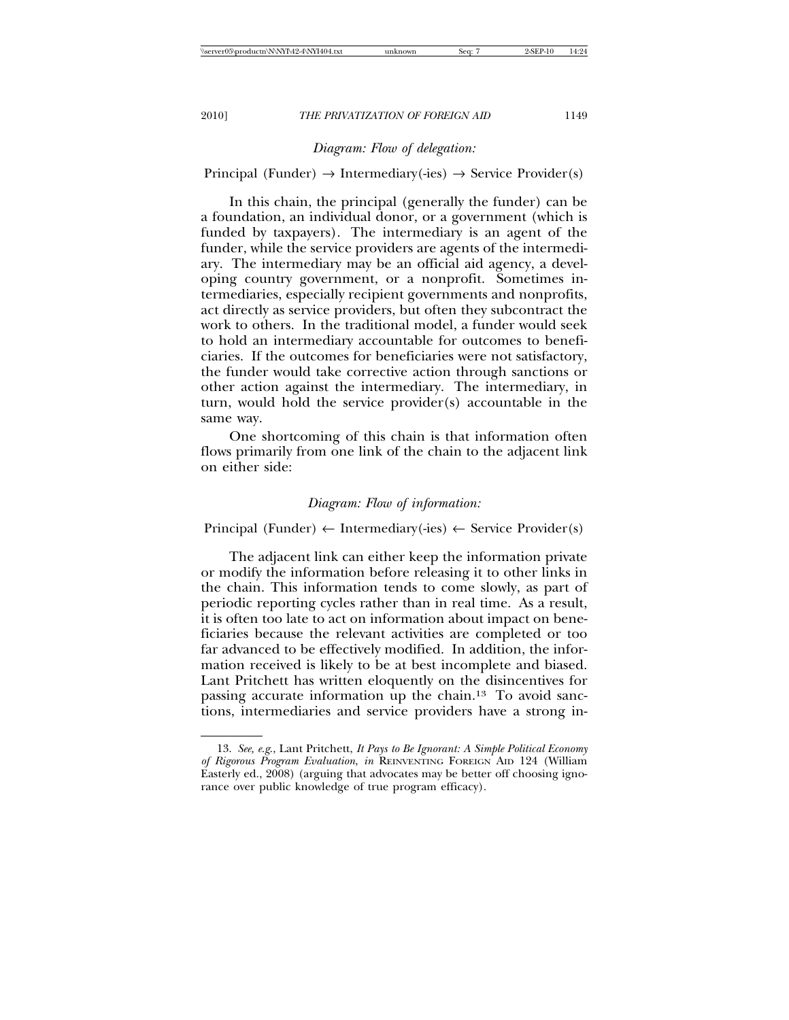## *Diagram: Flow of delegation:*

Principal (Funder)  $\rightarrow$  Intermediary(-ies)  $\rightarrow$  Service Provider(s)

In this chain, the principal (generally the funder) can be a foundation, an individual donor, or a government (which is funded by taxpayers). The intermediary is an agent of the funder, while the service providers are agents of the intermediary. The intermediary may be an official aid agency, a developing country government, or a nonprofit. Sometimes intermediaries, especially recipient governments and nonprofits, act directly as service providers, but often they subcontract the work to others. In the traditional model, a funder would seek to hold an intermediary accountable for outcomes to beneficiaries. If the outcomes for beneficiaries were not satisfactory, the funder would take corrective action through sanctions or other action against the intermediary. The intermediary, in turn, would hold the service provider(s) accountable in the same way.

One shortcoming of this chain is that information often flows primarily from one link of the chain to the adjacent link on either side:

#### *Diagram: Flow of information:*

Principal (Funder)  $\leftarrow$  Intermediary(-ies)  $\leftarrow$  Service Provider(s)

The adjacent link can either keep the information private or modify the information before releasing it to other links in the chain. This information tends to come slowly, as part of periodic reporting cycles rather than in real time. As a result, it is often too late to act on information about impact on beneficiaries because the relevant activities are completed or too far advanced to be effectively modified. In addition, the information received is likely to be at best incomplete and biased. Lant Pritchett has written eloquently on the disincentives for passing accurate information up the chain.13 To avoid sanctions, intermediaries and service providers have a strong in-

<sup>13.</sup> *See, e*.*g*., Lant Pritchett, *It Pays to Be Ignorant: A Simple Political Economy of Rigorous Program Evaluation*, *in* REINVENTING FOREIGN AID 124 (William Easterly ed., 2008) (arguing that advocates may be better off choosing ignorance over public knowledge of true program efficacy).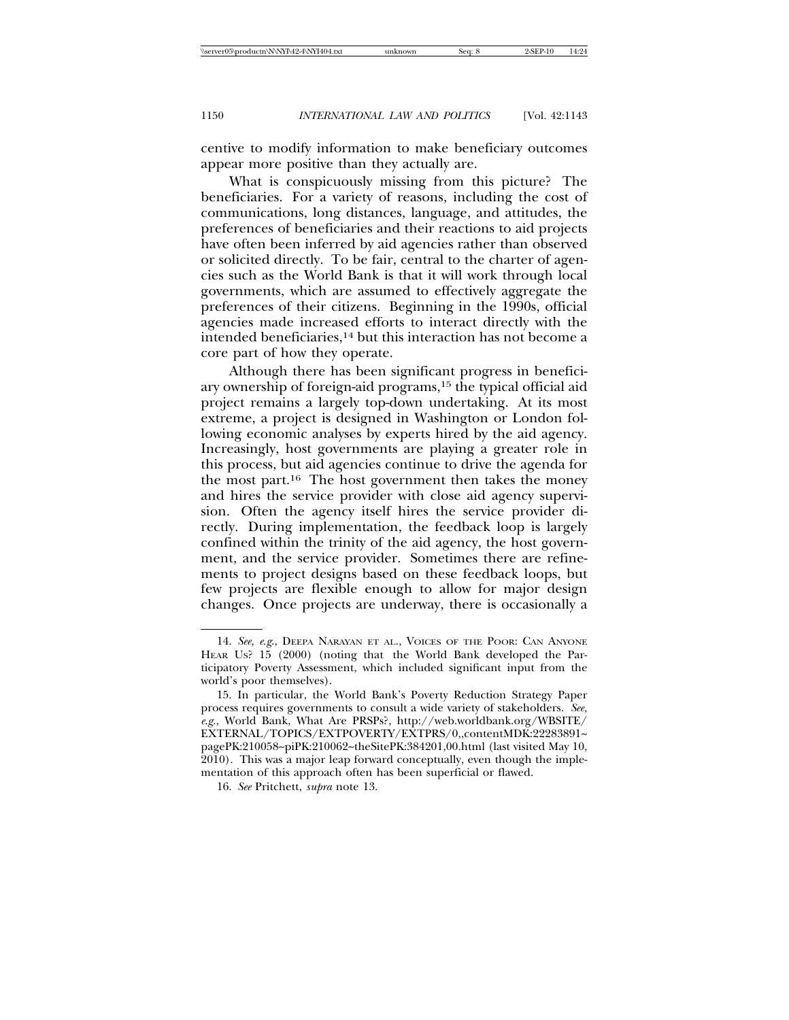centive to modify information to make beneficiary outcomes appear more positive than they actually are.

What is conspicuously missing from this picture? The beneficiaries. For a variety of reasons, including the cost of communications, long distances, language, and attitudes, the preferences of beneficiaries and their reactions to aid projects have often been inferred by aid agencies rather than observed or solicited directly. To be fair, central to the charter of agencies such as the World Bank is that it will work through local governments, which are assumed to effectively aggregate the preferences of their citizens. Beginning in the 1990s, official agencies made increased efforts to interact directly with the intended beneficiaries,14 but this interaction has not become a core part of how they operate.

Although there has been significant progress in beneficiary ownership of foreign-aid programs,15 the typical official aid project remains a largely top-down undertaking. At its most extreme, a project is designed in Washington or London following economic analyses by experts hired by the aid agency. Increasingly, host governments are playing a greater role in this process, but aid agencies continue to drive the agenda for the most part.16 The host government then takes the money and hires the service provider with close aid agency supervision. Often the agency itself hires the service provider directly. During implementation, the feedback loop is largely confined within the trinity of the aid agency, the host government, and the service provider. Sometimes there are refinements to project designs based on these feedback loops, but few projects are flexible enough to allow for major design changes. Once projects are underway, there is occasionally a

<sup>14.</sup> *See, e*.*g*., DEEPA NARAYAN ET AL., VOICES OF THE POOR: CAN ANYONE HEAR US? 15 (2000) (noting that the World Bank developed the Participatory Poverty Assessment, which included significant input from the world's poor themselves).

<sup>15.</sup> In particular, the World Bank's Poverty Reduction Strategy Paper process requires governments to consult a wide variety of stakeholders. *See, e*.*g*., World Bank, What Are PRSPs?, http://web.worldbank.org/WBSITE/ EXTERNAL/TOPICS/EXTPOVERTY/EXTPRS/0,,contentMDK:22283891~ pagePK:210058~piPK:210062~theSitePK:384201,00.html (last visited May 10, 2010). This was a major leap forward conceptually, even though the implementation of this approach often has been superficial or flawed.

<sup>16.</sup> *See* Pritchett, *supra* note 13.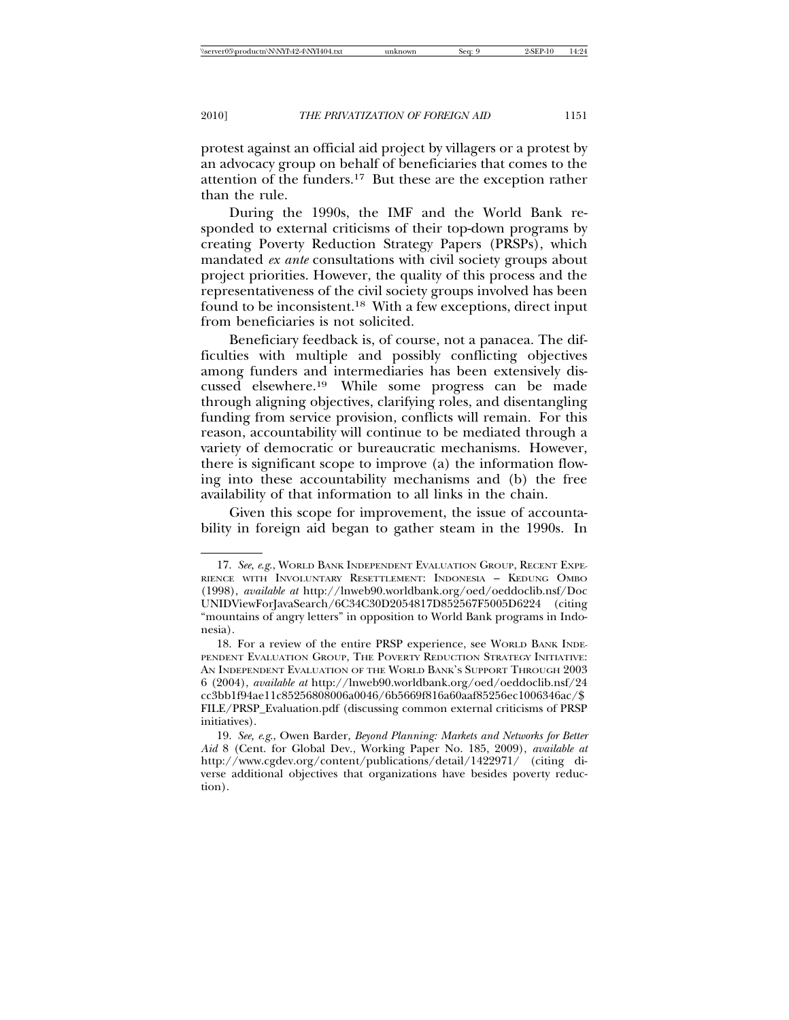protest against an official aid project by villagers or a protest by an advocacy group on behalf of beneficiaries that comes to the attention of the funders.17 But these are the exception rather than the rule.

During the 1990s, the IMF and the World Bank responded to external criticisms of their top-down programs by creating Poverty Reduction Strategy Papers (PRSPs), which mandated *ex ante* consultations with civil society groups about project priorities. However, the quality of this process and the representativeness of the civil society groups involved has been found to be inconsistent.18 With a few exceptions, direct input from beneficiaries is not solicited.

Beneficiary feedback is, of course, not a panacea. The difficulties with multiple and possibly conflicting objectives among funders and intermediaries has been extensively discussed elsewhere.19 While some progress can be made through aligning objectives, clarifying roles, and disentangling funding from service provision, conflicts will remain. For this reason, accountability will continue to be mediated through a variety of democratic or bureaucratic mechanisms. However, there is significant scope to improve (a) the information flowing into these accountability mechanisms and (b) the free availability of that information to all links in the chain.

Given this scope for improvement, the issue of accountability in foreign aid began to gather steam in the 1990s. In

<sup>17.</sup> *See, e*.*g*., WORLD BANK INDEPENDENT EVALUATION GROUP, RECENT EXPE-RIENCE WITH INVOLUNTARY RESETTLEMENT: INDONESIA – KEDUNG OMBO (1998), *available at* http://lnweb90.worldbank.org/oed/oeddoclib.nsf/Doc UNIDViewForJavaSearch/6C34C30D2054817D852567F5005D6224 (citing "mountains of angry letters" in opposition to World Bank programs in Indonesia).

<sup>18.</sup> For a review of the entire PRSP experience, see WORLD BANK INDE-PENDENT EVALUATION GROUP, THE POVERTY REDUCTION STRATEGY INITIATIVE: AN INDEPENDENT EVALUATION OF THE WORLD BANK'S SUPPORT THROUGH 2003 6 (2004), *available at* http://lnweb90.worldbank.org/oed/oeddoclib.nsf/24 cc3bb1f94ae11c85256808006a0046/6b5669f816a60aaf85256ec1006346ac/\$ FILE/PRSP\_Evaluation.pdf (discussing common external criticisms of PRSP initiatives).

<sup>19.</sup> *See, e*.*g*., Owen Barder, *Beyond Planning: Markets and Networks for Better Aid* 8 (Cent. for Global Dev., Working Paper No. 185, 2009), *available at* http://www.cgdev.org/content/publications/detail/1422971/ (citing diverse additional objectives that organizations have besides poverty reduction).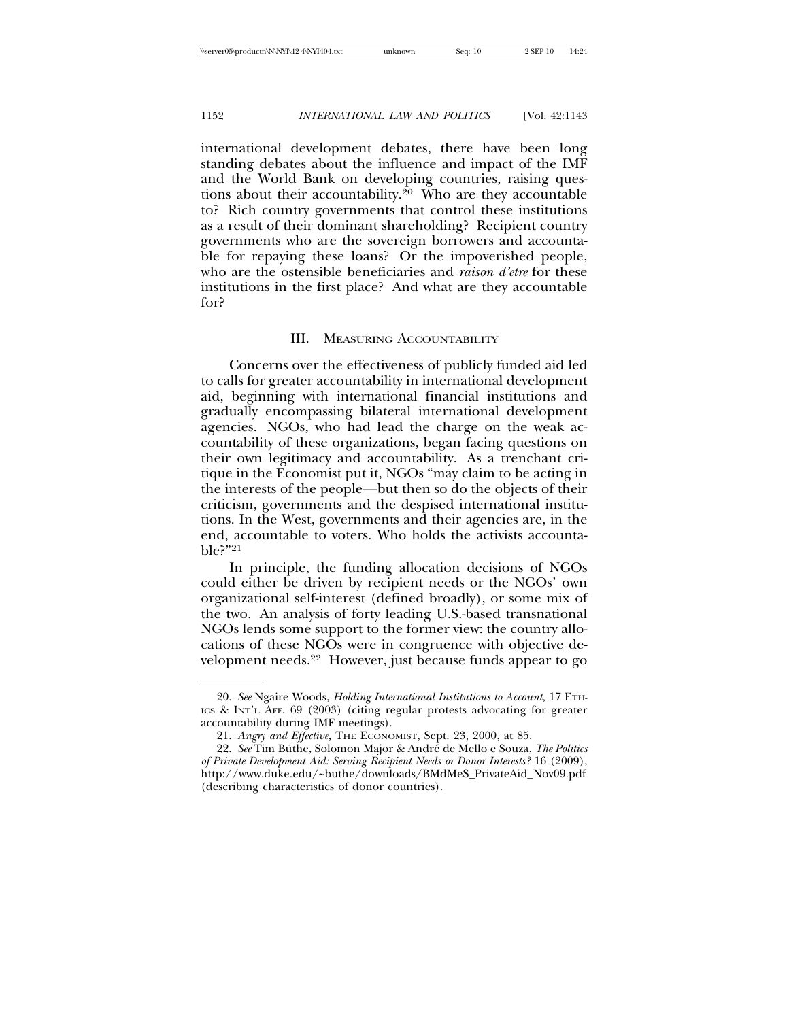international development debates, there have been long standing debates about the influence and impact of the IMF and the World Bank on developing countries, raising questions about their accountability.<sup>20</sup> Who are they accountable to? Rich country governments that control these institutions as a result of their dominant shareholding? Recipient country governments who are the sovereign borrowers and accountable for repaying these loans? Or the impoverished people, who are the ostensible beneficiaries and *raison d'etre* for these institutions in the first place? And what are they accountable for?

#### III. MEASURING ACCOUNTABILITY

Concerns over the effectiveness of publicly funded aid led to calls for greater accountability in international development aid, beginning with international financial institutions and gradually encompassing bilateral international development agencies. NGOs, who had lead the charge on the weak accountability of these organizations, began facing questions on their own legitimacy and accountability. As a trenchant critique in the Economist put it, NGOs "may claim to be acting in the interests of the people—but then so do the objects of their criticism, governments and the despised international institutions. In the West, governments and their agencies are, in the end, accountable to voters. Who holds the activists accountable?"21

In principle, the funding allocation decisions of NGOs could either be driven by recipient needs or the NGOs' own organizational self-interest (defined broadly), or some mix of the two. An analysis of forty leading U.S.-based transnational NGOs lends some support to the former view: the country allocations of these NGOs were in congruence with objective development needs.22 However, just because funds appear to go

<sup>20.</sup> *See* Ngaire Woods, *Holding International Institutions to Account,* 17 ETH-ICS & INT'L AFF. 69 (2003) (citing regular protests advocating for greater accountability during IMF meetings).

<sup>21.</sup> *Angry and Effective,* THE ECONOMIST, Sept. 23, 2000, at 85.

<sup>22.</sup> See Tim Büthe, Solomon Major & André de Mello e Souza, The Politics *of Private Development Aid: Serving Recipient Needs or Donor Interests?* 16 (2009), http://www.duke.edu/~buthe/downloads/BMdMeS\_PrivateAid\_Nov09.pdf (describing characteristics of donor countries).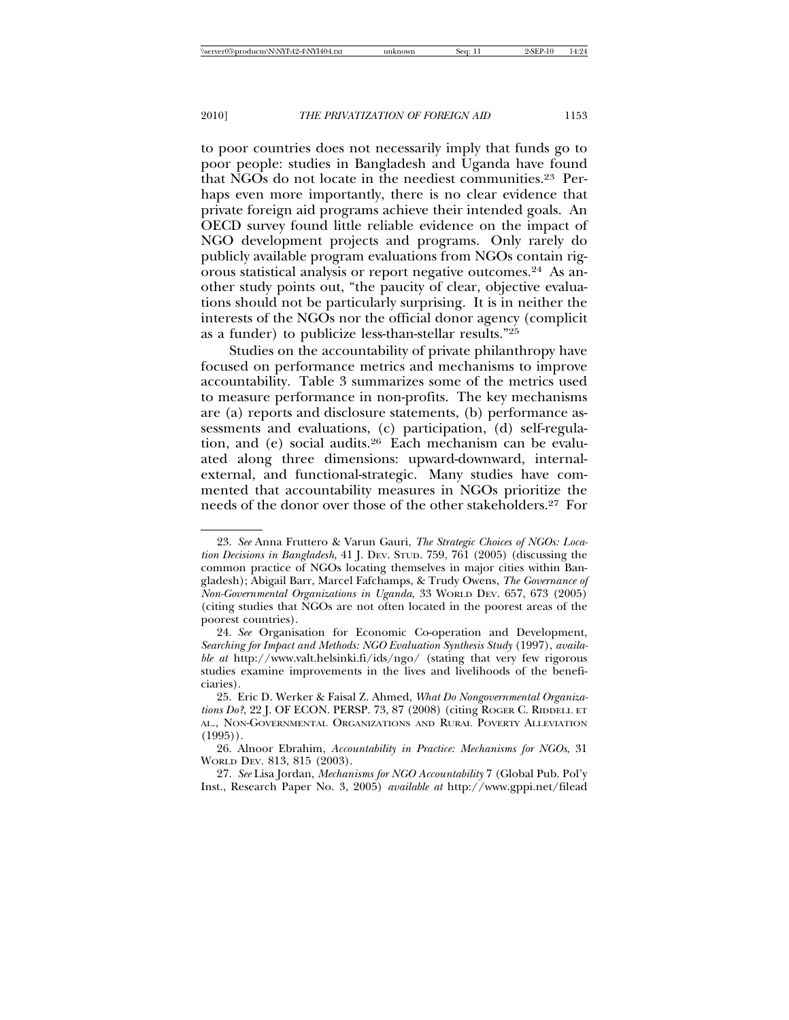to poor countries does not necessarily imply that funds go to poor people: studies in Bangladesh and Uganda have found that NGOs do not locate in the neediest communities.23 Perhaps even more importantly, there is no clear evidence that private foreign aid programs achieve their intended goals. An OECD survey found little reliable evidence on the impact of NGO development projects and programs. Only rarely do publicly available program evaluations from NGOs contain rigorous statistical analysis or report negative outcomes.24 As another study points out, "the paucity of clear, objective evaluations should not be particularly surprising. It is in neither the interests of the NGOs nor the official donor agency (complicit as a funder) to publicize less-than-stellar results."25

Studies on the accountability of private philanthropy have focused on performance metrics and mechanisms to improve accountability. Table 3 summarizes some of the metrics used to measure performance in non-profits. The key mechanisms are (a) reports and disclosure statements, (b) performance assessments and evaluations, (c) participation, (d) self-regulation, and (e) social audits.26 Each mechanism can be evaluated along three dimensions: upward-downward, internalexternal, and functional-strategic. Many studies have commented that accountability measures in NGOs prioritize the needs of the donor over those of the other stakeholders.27 For

<sup>23.</sup> *See* Anna Fruttero & Varun Gauri, *The Strategic Choices of NGOs: Location Decisions in Bangladesh*, 41 J. DEV. STUD. 759, 761 (2005) (discussing the common practice of NGOs locating themselves in major cities within Bangladesh); Abigail Barr, Marcel Fafchamps, & Trudy Owens, *The Governance of Non-Governmental Organizations in Uganda*, 33 WORLD DEV. 657, 673 (2005) (citing studies that NGOs are not often located in the poorest areas of the poorest countries).

<sup>24.</sup> *See* Organisation for Economic Co-operation and Development, *Searching for Impact and Methods: NGO Evaluation Synthesis Study* (1997), *available at* http://www.valt.helsinki.fi/ids/ngo/ (stating that very few rigorous studies examine improvements in the lives and livelihoods of the beneficiaries).

<sup>25.</sup> Eric D. Werker & Faisal Z. Ahmed, *What Do Nongovernmental Organizations Do?*, 22 J. OF ECON. PERSP. 73, 87 (2008) (citing ROGER C. RIDDELL ET AL., NON-GOVERNMENTAL ORGANIZATIONS AND RURAL POVERTY ALLEVIATION  $(1995)$ .

<sup>26.</sup> Alnoor Ebrahim, *Accountability in Practice: Mechanisms for NGOs*, 31 WORLD DEV. 813, 815 (2003).

<sup>27.</sup> *See* Lisa Jordan, *Mechanisms for NGO Accountability* 7 (Global Pub. Pol'y Inst., Research Paper No. 3, 2005) *available at* http://www.gppi.net/filead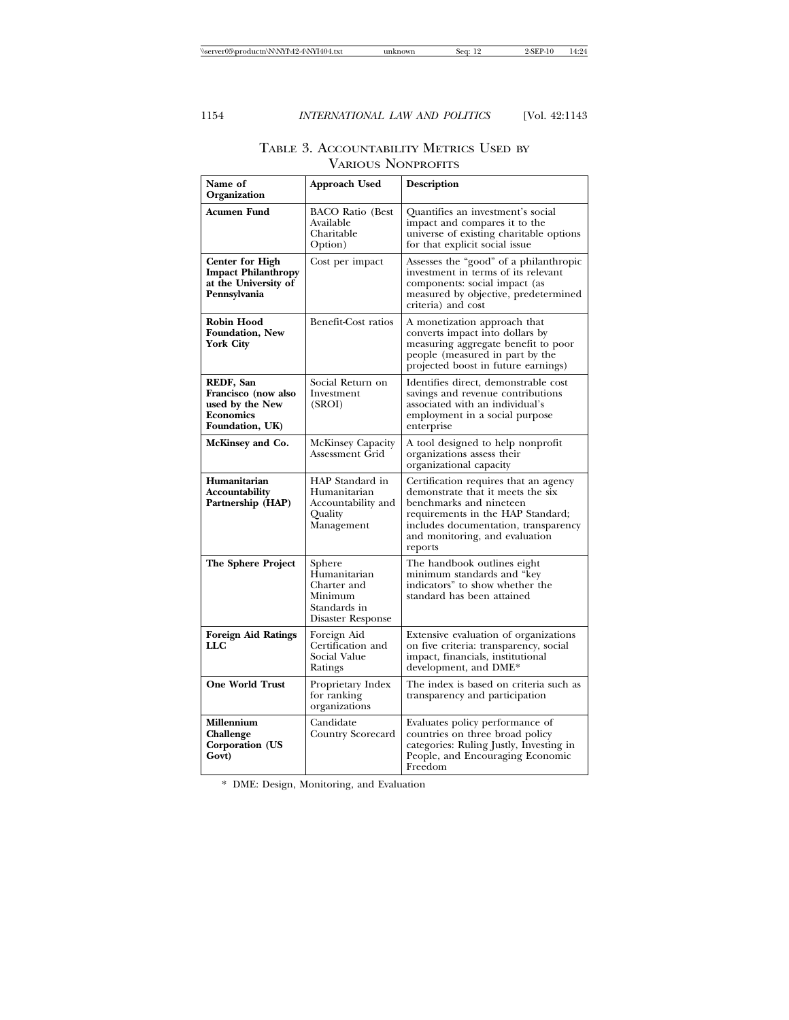| Name of<br>Organization                                                                      | Approach Used                                                                         | Description                                                                                                                                                                                                                     |  |
|----------------------------------------------------------------------------------------------|---------------------------------------------------------------------------------------|---------------------------------------------------------------------------------------------------------------------------------------------------------------------------------------------------------------------------------|--|
| Acumen Fund                                                                                  | <b>BACO Ratio (Best</b><br>Available<br>Charitable<br>Option)                         | Quantifies an investment's social<br>impact and compares it to the<br>universe of existing charitable options<br>for that explicit social issue                                                                                 |  |
| <b>Center for High</b><br><b>Impact Philanthropy</b><br>at the University of<br>Pennsylvania | Cost per impact                                                                       | Assesses the "good" of a philanthropic<br>investment in terms of its relevant<br>components: social impact (as<br>measured by objective, predetermined<br>criteria) and cost                                                    |  |
| Robin Hood<br><b>Foundation, New</b><br>York City                                            | Benefit-Cost ratios                                                                   | A monetization approach that<br>converts impact into dollars by<br>measuring aggregate benefit to poor<br>people (measured in part by the<br>projected boost in future earnings)                                                |  |
| REDF, San<br>Francisco (now also<br>used by the New<br><b>Economics</b><br>Foundation, UK)   | Social Return on<br>Investment<br>(SROI)                                              | Identifies direct, demonstrable cost<br>savings and revenue contributions<br>associated with an individual's<br>employment in a social purpose<br>enterprise                                                                    |  |
| McKinsey and Co.                                                                             | McKinsey Capacity<br>Assessment Grid                                                  | A tool designed to help nonprofit<br>organizations assess their<br>organizational capacity                                                                                                                                      |  |
| Humanitarian<br>Accountability<br>Partnership (HAP)                                          | HAP Standard in<br>Humanitarian<br>Accountability and<br>Quality<br>Management        | Certification requires that an agency<br>demonstrate that it meets the six<br>benchmarks and nineteen<br>requirements in the HAP Standard;<br>includes documentation, transparency<br>and monitoring, and evaluation<br>reports |  |
| The Sphere Project                                                                           | Sphere<br>Humanitarian<br>Charter and<br>Minimum<br>Standards in<br>Disaster Response | The handbook outlines eight<br>minimum standards and "key<br>indicators" to show whether the<br>standard has been attained                                                                                                      |  |
| <b>Foreign Aid Ratings</b><br>LLC                                                            | Foreign Aid<br>Certification and<br>Social Value<br>Ratings                           | Extensive evaluation of organizations<br>on five criteria: transparency, social<br>impact, financials, institutional<br>development, and DME*                                                                                   |  |
| <b>One World Trust</b>                                                                       | Proprietary Index<br>for ranking<br>organizations                                     | The index is based on criteria such as<br>transparency and participation                                                                                                                                                        |  |
| Millennium<br>Challenge<br>Corporation (US<br>Govt)                                          | Candidate<br>Country Scorecard                                                        | Evaluates policy performance of<br>countries on three broad policy<br>categories: Ruling Justly, Investing in<br>People, and Encouraging Economic<br>Freedom                                                                    |  |

## TABLE 3. ACCOUNTABILITY METRICS USED BY VARIOUS NONPROFITS

\* DME: Design, Monitoring, and Evaluation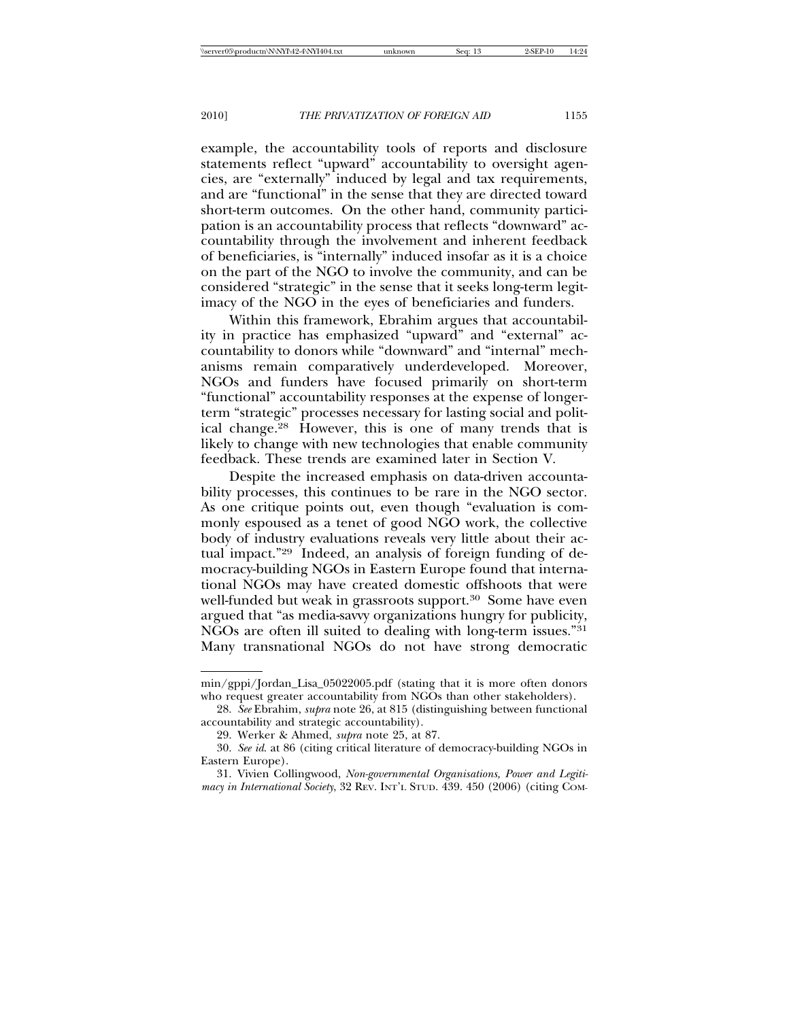example, the accountability tools of reports and disclosure statements reflect "upward" accountability to oversight agencies, are "externally" induced by legal and tax requirements, and are "functional" in the sense that they are directed toward short-term outcomes. On the other hand, community participation is an accountability process that reflects "downward" accountability through the involvement and inherent feedback of beneficiaries, is "internally" induced insofar as it is a choice on the part of the NGO to involve the community, and can be considered "strategic" in the sense that it seeks long-term legitimacy of the NGO in the eyes of beneficiaries and funders.

Within this framework, Ebrahim argues that accountability in practice has emphasized "upward" and "external" accountability to donors while "downward" and "internal" mechanisms remain comparatively underdeveloped. Moreover, NGOs and funders have focused primarily on short-term "functional" accountability responses at the expense of longerterm "strategic" processes necessary for lasting social and political change.28 However, this is one of many trends that is likely to change with new technologies that enable community feedback. These trends are examined later in Section V.

Despite the increased emphasis on data-driven accountability processes, this continues to be rare in the NGO sector. As one critique points out, even though "evaluation is commonly espoused as a tenet of good NGO work, the collective body of industry evaluations reveals very little about their actual impact."29 Indeed, an analysis of foreign funding of democracy-building NGOs in Eastern Europe found that international NGOs may have created domestic offshoots that were well-funded but weak in grassroots support.<sup>30</sup> Some have even argued that "as media-savvy organizations hungry for publicity,  $N\widetilde{G}Os$  are often ill suited to dealing with long-term issues."<sup>31</sup> Many transnational NGOs do not have strong democratic

min/gppi/Jordan\_Lisa\_05022005.pdf (stating that it is more often donors who request greater accountability from NGOs than other stakeholders).

<sup>28.</sup> *See* Ebrahim, *supra* note 26, at 815 (distinguishing between functional accountability and strategic accountability).

<sup>29.</sup> Werker & Ahmed, *supra* note 25, at 87.

<sup>30.</sup> *See id*. at 86 (citing critical literature of democracy-building NGOs in Eastern Europe).

<sup>31.</sup> Vivien Collingwood, *Non-governmental Organisations, Power and Legitimacy in International Society*, 32 REV. INT'L STUD. 439. 450 (2006) (citing COM-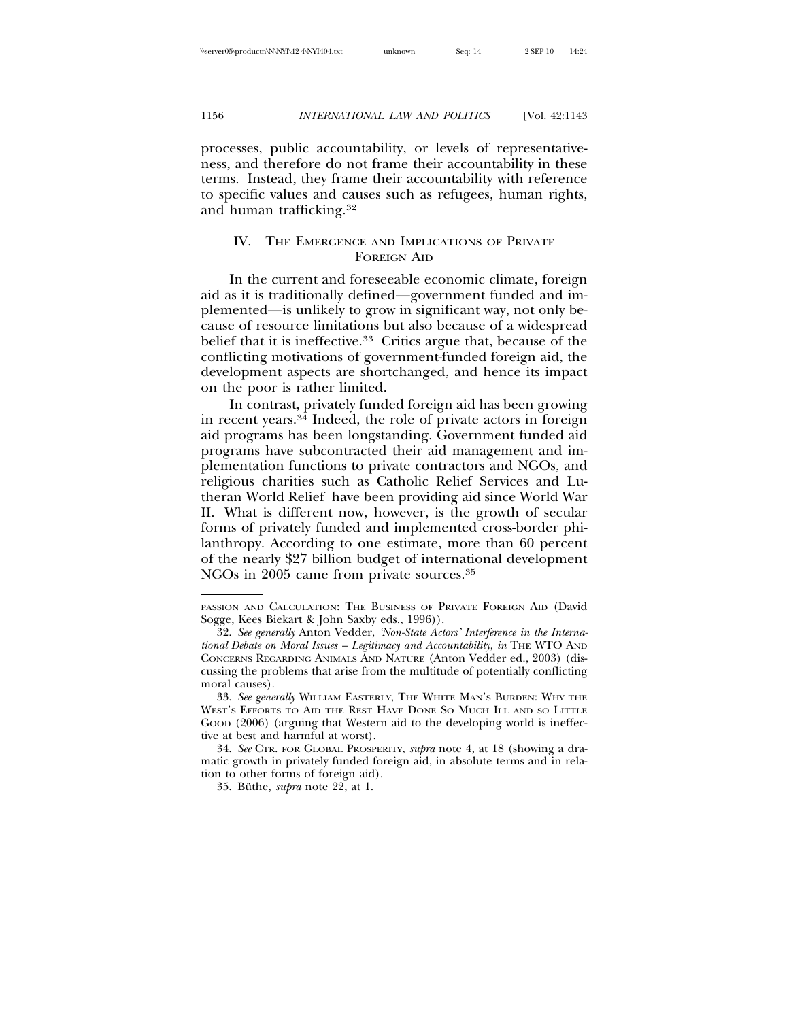processes, public accountability, or levels of representativeness, and therefore do not frame their accountability in these terms. Instead, they frame their accountability with reference to specific values and causes such as refugees, human rights, and human trafficking.32

## IV. THE EMERGENCE AND IMPLICATIONS OF PRIVATE FOREIGN AID

In the current and foreseeable economic climate, foreign aid as it is traditionally defined—government funded and implemented—is unlikely to grow in significant way, not only because of resource limitations but also because of a widespread belief that it is ineffective.33 Critics argue that, because of the conflicting motivations of government-funded foreign aid, the development aspects are shortchanged, and hence its impact on the poor is rather limited.

In contrast, privately funded foreign aid has been growing in recent years.34 Indeed, the role of private actors in foreign aid programs has been longstanding. Government funded aid programs have subcontracted their aid management and implementation functions to private contractors and NGOs, and religious charities such as Catholic Relief Services and Lutheran World Relief have been providing aid since World War II. What is different now, however, is the growth of secular forms of privately funded and implemented cross-border philanthropy. According to one estimate, more than 60 percent of the nearly \$27 billion budget of international development NGOs in 2005 came from private sources.35

PASSION AND CALCULATION: THE BUSINESS OF PRIVATE FOREIGN AID (David Sogge, Kees Biekart & John Saxby eds., 1996)).

<sup>32.</sup> *See generally* Anton Vedder, *'Non-State Actors' Interference in the International Debate on Moral Issues – Legitimacy and Accountability*, *in* THE WTO AND CONCERNS REGARDING ANIMALS AND NATURE (Anton Vedder ed., 2003) (discussing the problems that arise from the multitude of potentially conflicting moral causes).

<sup>33.</sup> *See generally* WILLIAM EASTERLY, THE WHITE MAN'S BURDEN: WHY THE WEST'S EFFORTS TO AID THE REST HAVE DONE SO MUCH ILL AND SO LITTLE Good (2006) (arguing that Western aid to the developing world is ineffective at best and harmful at worst).

<sup>34.</sup> *See* CTR. FOR GLOBAL PROSPERITY, *supra* note 4, at 18 (showing a dramatic growth in privately funded foreign aid, in absolute terms and in relation to other forms of foreign aid).

<sup>35.</sup> Büthe, *supra* note 22, at 1.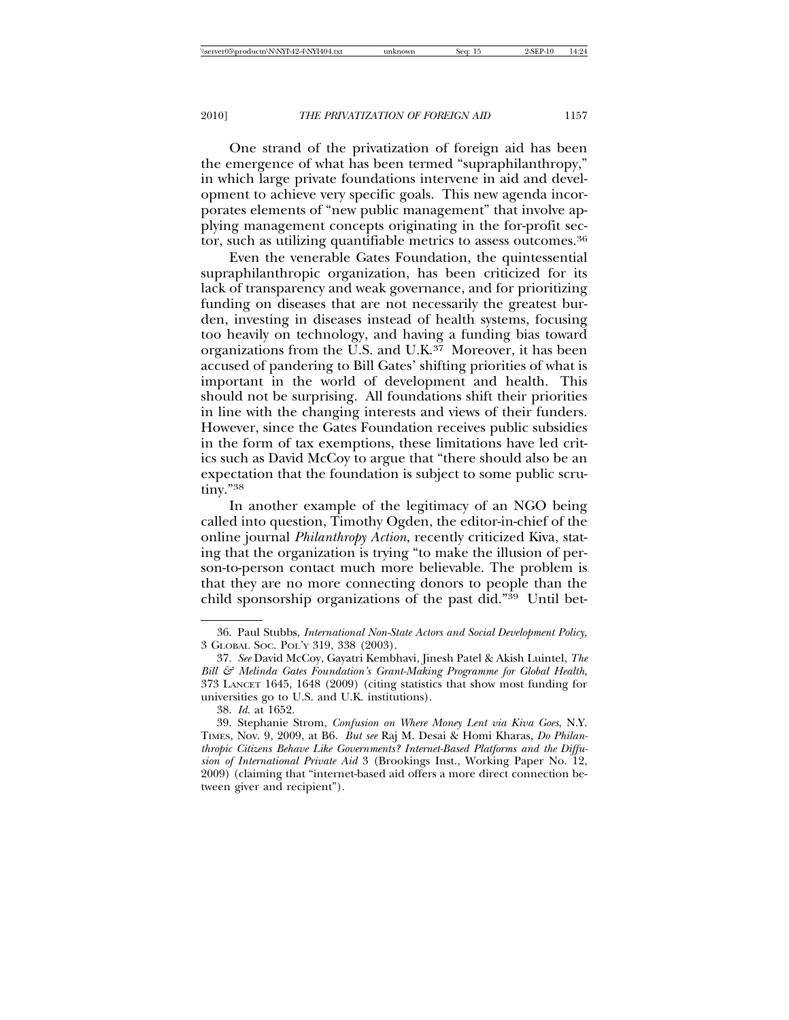One strand of the privatization of foreign aid has been the emergence of what has been termed "supraphilanthropy," in which large private foundations intervene in aid and development to achieve very specific goals. This new agenda incorporates elements of "new public management" that involve applying management concepts originating in the for-profit sector, such as utilizing quantifiable metrics to assess outcomes.36

Even the venerable Gates Foundation, the quintessential supraphilanthropic organization, has been criticized for its lack of transparency and weak governance, and for prioritizing funding on diseases that are not necessarily the greatest burden, investing in diseases instead of health systems, focusing too heavily on technology, and having a funding bias toward organizations from the U.S. and U.K. $37$  Moreover, it has been accused of pandering to Bill Gates' shifting priorities of what is important in the world of development and health. This should not be surprising. All foundations shift their priorities in line with the changing interests and views of their funders. However, since the Gates Foundation receives public subsidies in the form of tax exemptions, these limitations have led critics such as David McCoy to argue that "there should also be an expectation that the foundation is subject to some public scrutiny."38

In another example of the legitimacy of an NGO being called into question, Timothy Ogden, the editor-in-chief of the online journal *Philanthropy Action*, recently criticized Kiva, stating that the organization is trying "to make the illusion of person-to-person contact much more believable. The problem is that they are no more connecting donors to people than the child sponsorship organizations of the past did."39 Until bet-

<sup>36.</sup> Paul Stubbs, *International Non-State Actors and Social Development Policy,* 3 GLOBAL SOC. POL'Y 319, 338 (2003).

<sup>37.</sup> *See* David McCoy, Gayatri Kembhavi, Jinesh Patel & Akish Luintel, *The Bill & Melinda Gates Foundation's Grant-Making Programme for Global Health*, 373 LANCET 1645, 1648 (2009) (citing statistics that show most funding for universities go to U.S. and U.K. institutions).

<sup>38.</sup> *Id*. at 1652.

<sup>39.</sup> Stephanie Strom, *Confusion on Where Money Lent via Kiva Goes*, N.Y. TIMES, Nov. 9, 2009, at B6. *But see* Raj M. Desai & Homi Kharas, *Do Philanthropic Citizens Behave Like Governments? Internet-Based Platforms and the Diffusion of International Private Aid* 3 (Brookings Inst., Working Paper No. 12, 2009) (claiming that "internet-based aid offers a more direct connection between giver and recipient").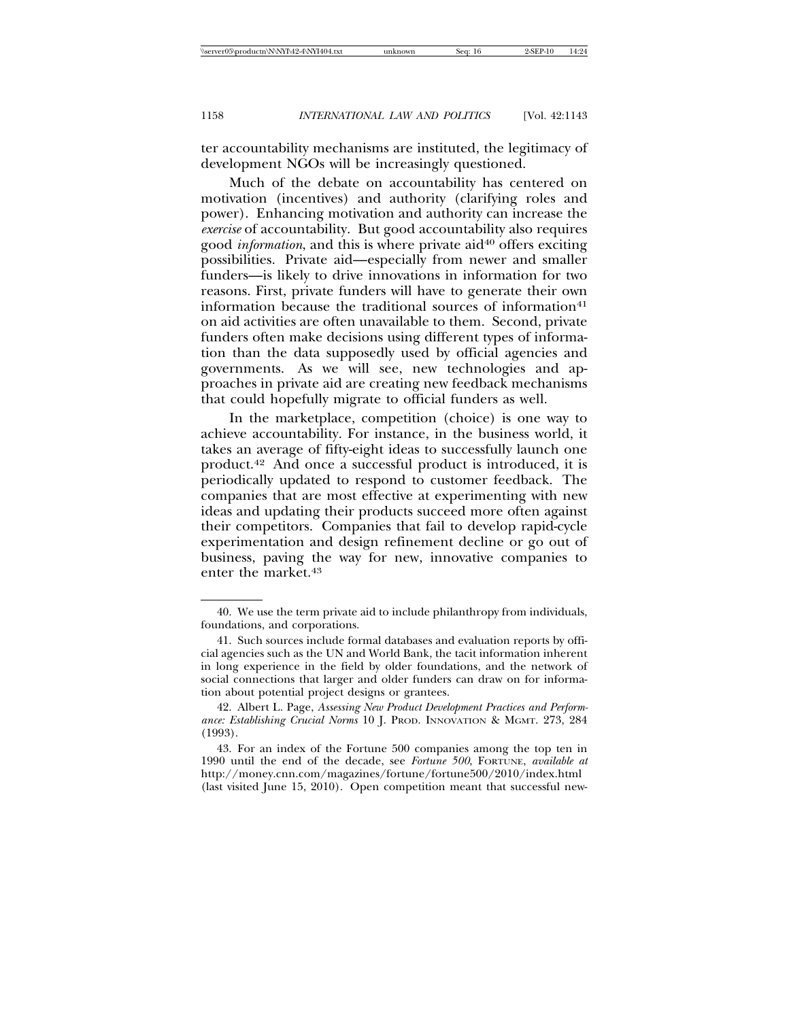ter accountability mechanisms are instituted, the legitimacy of development NGOs will be increasingly questioned.

Much of the debate on accountability has centered on motivation (incentives) and authority (clarifying roles and power). Enhancing motivation and authority can increase the *exercise* of accountability. But good accountability also requires good *information*, and this is where private aid<sup>40</sup> offers exciting possibilities. Private aid—especially from newer and smaller funders—is likely to drive innovations in information for two reasons. First, private funders will have to generate their own information because the traditional sources of information<sup>41</sup> on aid activities are often unavailable to them. Second, private funders often make decisions using different types of information than the data supposedly used by official agencies and governments. As we will see, new technologies and approaches in private aid are creating new feedback mechanisms that could hopefully migrate to official funders as well.

In the marketplace, competition (choice) is one way to achieve accountability. For instance, in the business world, it takes an average of fifty-eight ideas to successfully launch one product.42 And once a successful product is introduced, it is periodically updated to respond to customer feedback. The companies that are most effective at experimenting with new ideas and updating their products succeed more often against their competitors. Companies that fail to develop rapid-cycle experimentation and design refinement decline or go out of business, paving the way for new, innovative companies to enter the market.43

<sup>40.</sup> We use the term private aid to include philanthropy from individuals, foundations, and corporations.

<sup>41.</sup> Such sources include formal databases and evaluation reports by official agencies such as the UN and World Bank, the tacit information inherent in long experience in the field by older foundations, and the network of social connections that larger and older funders can draw on for information about potential project designs or grantees.

<sup>42.</sup> Albert L. Page, *Assessing New Product Development Practices and Performance: Establishing Crucial Norms* 10 J. PROD. INNOVATION & MGMT. 273, 284 (1993).

<sup>43.</sup> For an index of the Fortune 500 companies among the top ten in 1990 until the end of the decade, see *Fortune 500*, FORTUNE, *available at* http://money.cnn.com/magazines/fortune/fortune500/2010/index.html (last visited June 15, 2010). Open competition meant that successful new-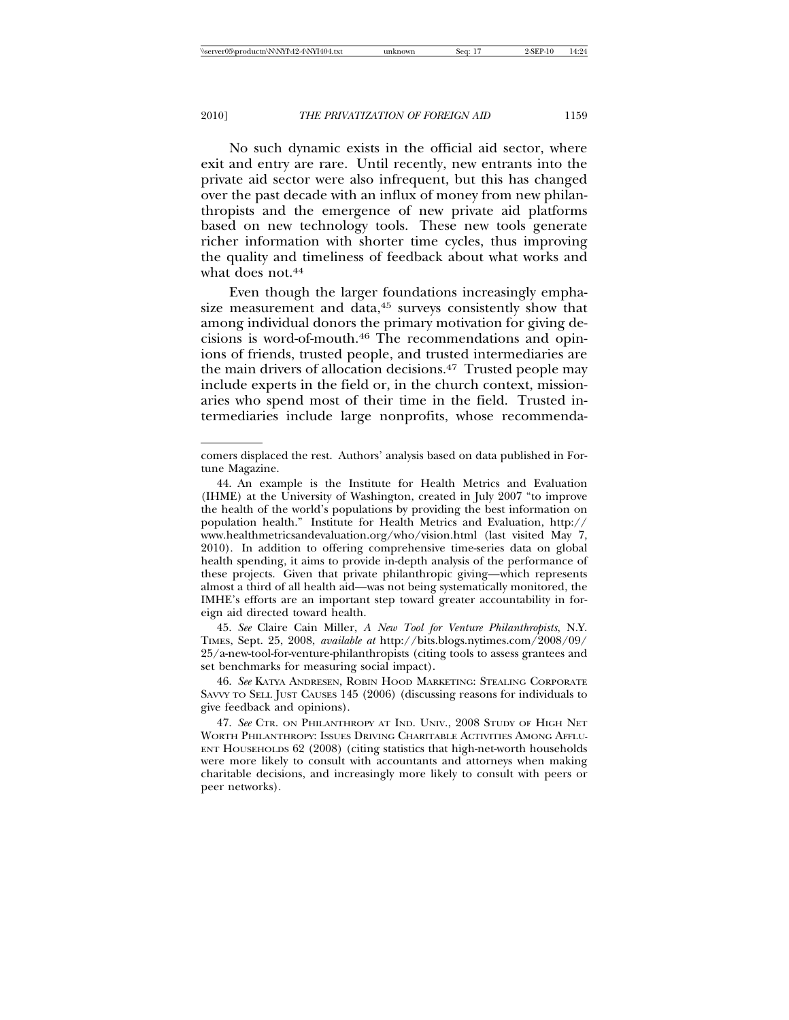No such dynamic exists in the official aid sector, where exit and entry are rare. Until recently, new entrants into the private aid sector were also infrequent, but this has changed over the past decade with an influx of money from new philanthropists and the emergence of new private aid platforms based on new technology tools. These new tools generate richer information with shorter time cycles, thus improving the quality and timeliness of feedback about what works and what does not.<sup>44</sup>

Even though the larger foundations increasingly emphasize measurement and data,<sup>45</sup> surveys consistently show that among individual donors the primary motivation for giving decisions is word-of-mouth.46 The recommendations and opinions of friends, trusted people, and trusted intermediaries are the main drivers of allocation decisions.47 Trusted people may include experts in the field or, in the church context, missionaries who spend most of their time in the field. Trusted intermediaries include large nonprofits, whose recommenda-

45. *See* Claire Cain Miller, *A New Tool for Venture Philanthropists*, N.Y. TIMES, Sept. 25, 2008, *available at* http://bits.blogs.nytimes.com/2008/09/ 25/a-new-tool-for-venture-philanthropists (citing tools to assess grantees and set benchmarks for measuring social impact).

46. *See* KATYA ANDRESEN, ROBIN HOOD MARKETING: STEALING CORPORATE SAVVY TO SELL JUST CAUSES 145 (2006) (discussing reasons for individuals to give feedback and opinions).

47. *See* CTR. ON PHILANTHROPY AT IND. UNIV., 2008 STUDY OF HIGH NET WORTH PHILANTHROPY: ISSUES DRIVING CHARITABLE ACTIVITIES AMONG AFFLU-ENT HOUSEHOLDS 62 (2008) (citing statistics that high-net-worth households were more likely to consult with accountants and attorneys when making charitable decisions, and increasingly more likely to consult with peers or peer networks).

comers displaced the rest. Authors' analysis based on data published in Fortune Magazine.

<sup>44.</sup> An example is the Institute for Health Metrics and Evaluation (IHME) at the University of Washington, created in July 2007 "to improve the health of the world's populations by providing the best information on population health." Institute for Health Metrics and Evaluation, http:// www.healthmetricsandevaluation.org/who/vision.html (last visited May 7, 2010). In addition to offering comprehensive time-series data on global health spending, it aims to provide in-depth analysis of the performance of these projects. Given that private philanthropic giving—which represents almost a third of all health aid—was not being systematically monitored, the IMHE's efforts are an important step toward greater accountability in foreign aid directed toward health.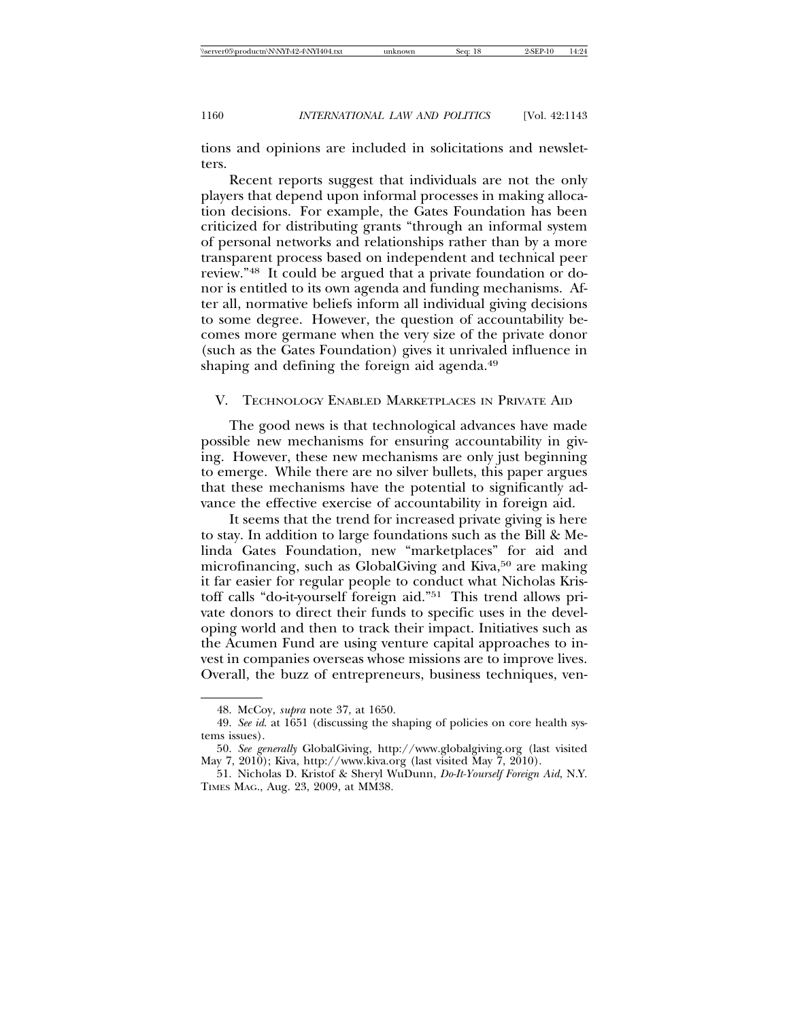tions and opinions are included in solicitations and newsletters.

Recent reports suggest that individuals are not the only players that depend upon informal processes in making allocation decisions. For example, the Gates Foundation has been criticized for distributing grants "through an informal system of personal networks and relationships rather than by a more transparent process based on independent and technical peer review."48 It could be argued that a private foundation or donor is entitled to its own agenda and funding mechanisms. After all, normative beliefs inform all individual giving decisions to some degree. However, the question of accountability becomes more germane when the very size of the private donor (such as the Gates Foundation) gives it unrivaled influence in shaping and defining the foreign aid agenda.<sup>49</sup>

#### V. TECHNOLOGY ENABLED MARKETPLACES IN PRIVATE AID

The good news is that technological advances have made possible new mechanisms for ensuring accountability in giving. However, these new mechanisms are only just beginning to emerge. While there are no silver bullets, this paper argues that these mechanisms have the potential to significantly advance the effective exercise of accountability in foreign aid.

It seems that the trend for increased private giving is here to stay. In addition to large foundations such as the Bill & Melinda Gates Foundation, new "marketplaces" for aid and microfinancing, such as GlobalGiving and Kiva,50 are making it far easier for regular people to conduct what Nicholas Kristoff calls "do-it-yourself foreign aid."51 This trend allows private donors to direct their funds to specific uses in the developing world and then to track their impact. Initiatives such as the Acumen Fund are using venture capital approaches to invest in companies overseas whose missions are to improve lives. Overall, the buzz of entrepreneurs, business techniques, ven-

<sup>48.</sup> McCoy, *supra* note 37, at 1650.

<sup>49.</sup> *See id*. at 1651 (discussing the shaping of policies on core health systems issues).

<sup>50.</sup> *See generally* GlobalGiving, http://www.globalgiving.org (last visited May 7, 2010); Kiva, http://www.kiva.org (last visited May 7, 2010).

<sup>51.</sup> Nicholas D. Kristof & Sheryl WuDunn, *Do-It-Yourself Foreign Aid*, N.Y. TIMES MAG., Aug. 23, 2009, at MM38.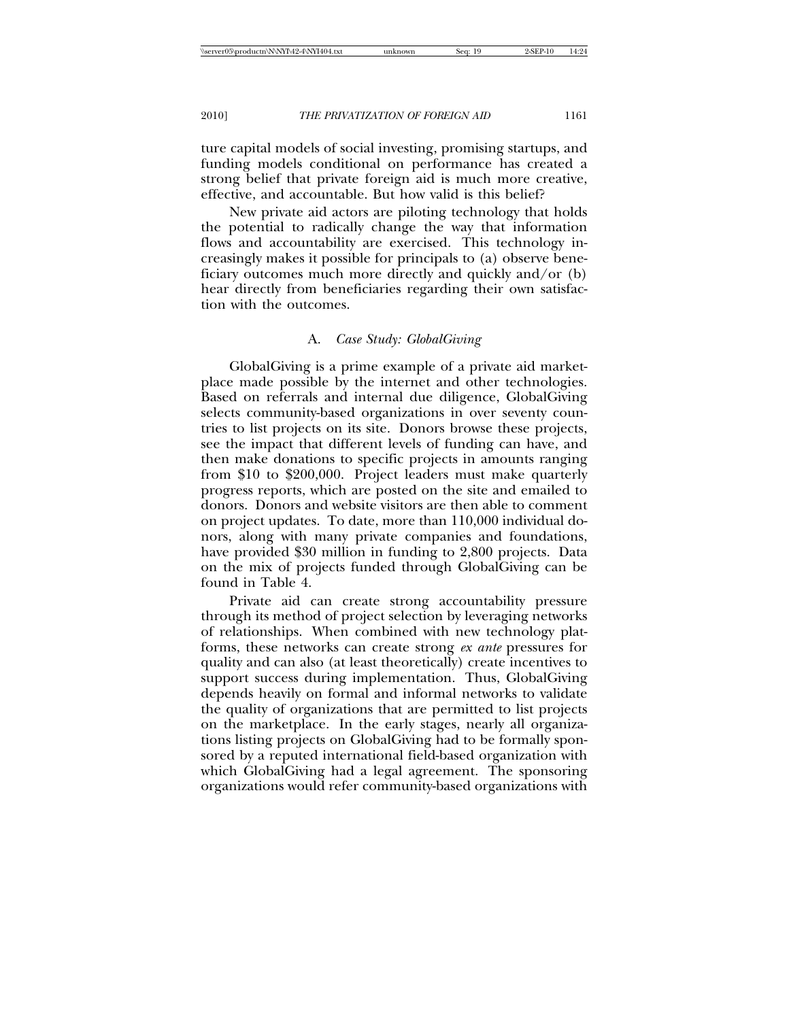ture capital models of social investing, promising startups, and funding models conditional on performance has created a strong belief that private foreign aid is much more creative, effective, and accountable. But how valid is this belief?

New private aid actors are piloting technology that holds the potential to radically change the way that information flows and accountability are exercised. This technology increasingly makes it possible for principals to (a) observe beneficiary outcomes much more directly and quickly and/or (b) hear directly from beneficiaries regarding their own satisfaction with the outcomes.

## A. *Case Study: GlobalGiving*

GlobalGiving is a prime example of a private aid marketplace made possible by the internet and other technologies. Based on referrals and internal due diligence, GlobalGiving selects community-based organizations in over seventy countries to list projects on its site. Donors browse these projects, see the impact that different levels of funding can have, and then make donations to specific projects in amounts ranging from \$10 to \$200,000. Project leaders must make quarterly progress reports, which are posted on the site and emailed to donors. Donors and website visitors are then able to comment on project updates. To date, more than 110,000 individual donors, along with many private companies and foundations, have provided \$30 million in funding to 2,800 projects. Data on the mix of projects funded through GlobalGiving can be found in Table 4.

Private aid can create strong accountability pressure through its method of project selection by leveraging networks of relationships. When combined with new technology platforms, these networks can create strong *ex ante* pressures for quality and can also (at least theoretically) create incentives to support success during implementation. Thus, GlobalGiving depends heavily on formal and informal networks to validate the quality of organizations that are permitted to list projects on the marketplace. In the early stages, nearly all organizations listing projects on GlobalGiving had to be formally sponsored by a reputed international field-based organization with which GlobalGiving had a legal agreement. The sponsoring organizations would refer community-based organizations with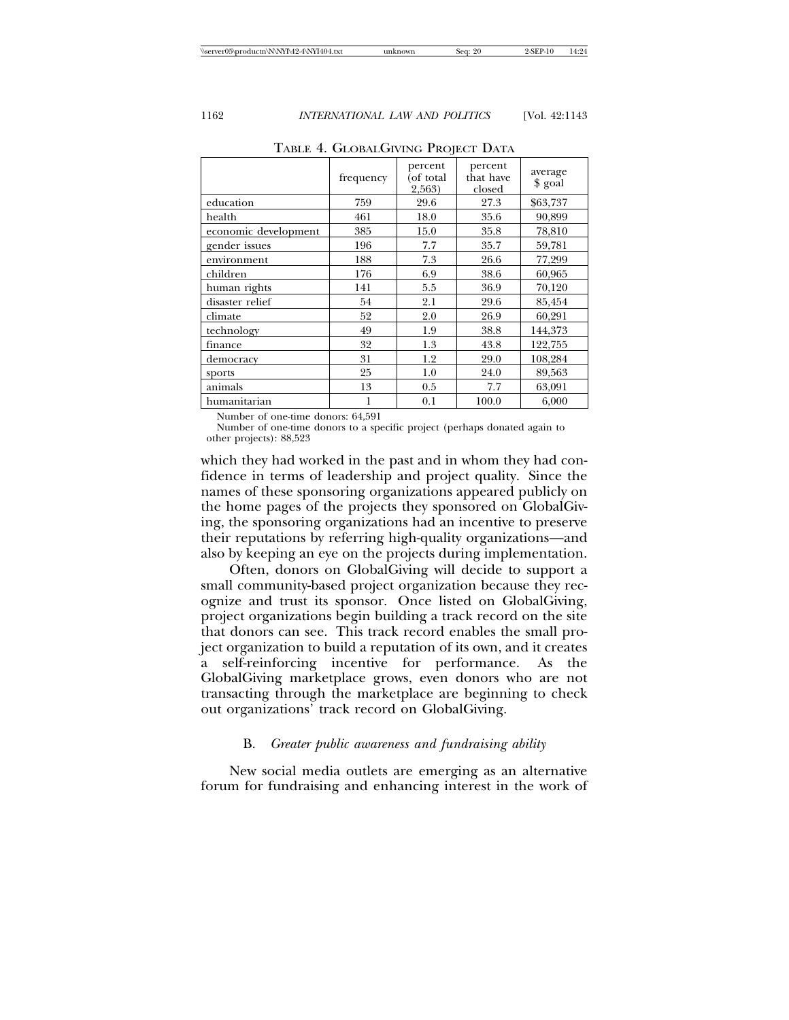|                      | frequency | percent<br>(of total<br>2,563) | percent<br>that have<br>closed | average<br>\$ goal |
|----------------------|-----------|--------------------------------|--------------------------------|--------------------|
| education            | 759       | 29.6                           | 27.3                           | \$63,737           |
| health               | 461       | 18.0                           | 35.6                           | 90,899             |
| economic development | 385       | 15.0                           | 35.8                           | 78,810             |
| gender issues        | 196       | 7.7                            | 35.7                           | 59,781             |
| environment          | 188       | 7.3                            | 26.6                           | 77,299             |
| children             | 176       | 6.9                            | 38.6                           | 60,965             |
| human rights         | 141       | 5.5                            | 36.9                           | 70,120             |
| disaster relief      | 54        | 2.1                            | 29.6                           | 85,454             |
| climate              | 52        | 2.0                            | 26.9                           | 60,291             |
| technology           | 49        | 1.9                            | 38.8                           | 144,373            |
| finance              | 32        | 1.3                            | 43.8                           | 122,755            |
| democracy            | 31        | 1.2                            | 29.0                           | 108,284            |
| sports               | 25        | 1.0                            | 24.0                           | 89,563             |
| animals              | 13        | 0.5                            | 7.7                            | 63,091             |
| humanitarian         | 1         | 0.1                            | 100.0                          | 6,000              |

TABLE 4. GLOBALGIVING PROJECT DATA

Number of one-time donors: 64,591

Number of one-time donors to a specific project (perhaps donated again to other projects): 88,523

which they had worked in the past and in whom they had confidence in terms of leadership and project quality. Since the names of these sponsoring organizations appeared publicly on the home pages of the projects they sponsored on GlobalGiving, the sponsoring organizations had an incentive to preserve their reputations by referring high-quality organizations—and also by keeping an eye on the projects during implementation.

Often, donors on GlobalGiving will decide to support a small community-based project organization because they recognize and trust its sponsor. Once listed on GlobalGiving, project organizations begin building a track record on the site that donors can see. This track record enables the small project organization to build a reputation of its own, and it creates a self-reinforcing incentive for performance. As the GlobalGiving marketplace grows, even donors who are not transacting through the marketplace are beginning to check out organizations' track record on GlobalGiving.

#### B. *Greater public awareness and fundraising ability*

New social media outlets are emerging as an alternative forum for fundraising and enhancing interest in the work of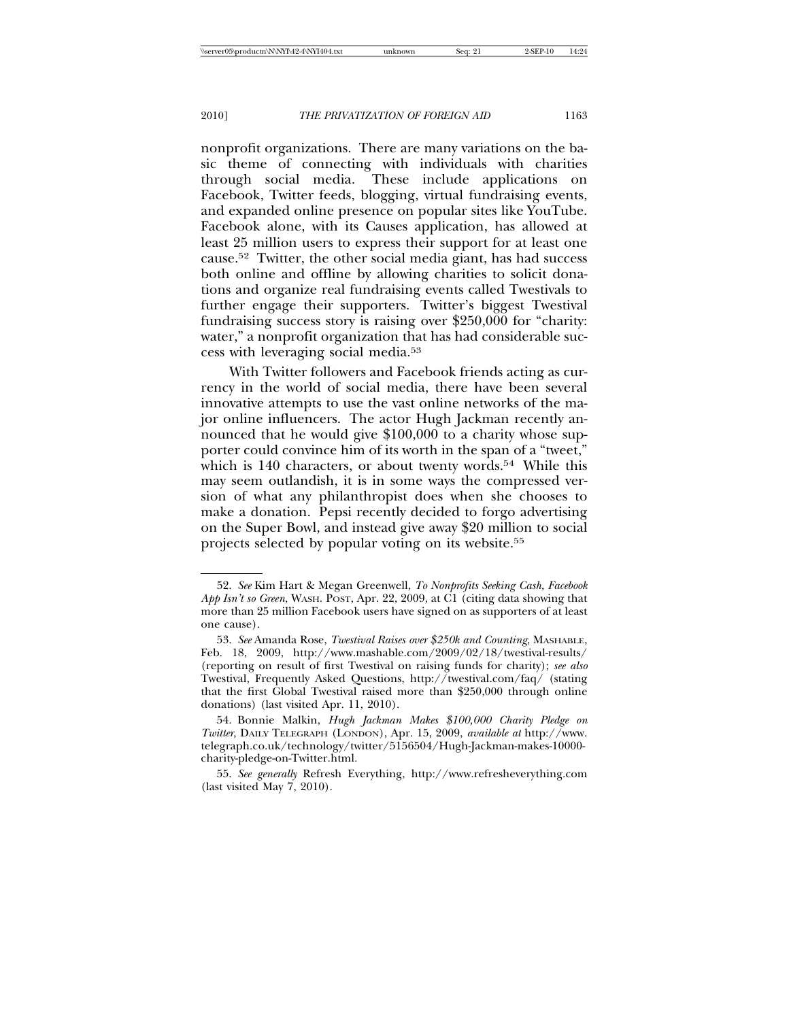nonprofit organizations. There are many variations on the basic theme of connecting with individuals with charities through social media. These include applications on Facebook, Twitter feeds, blogging, virtual fundraising events, and expanded online presence on popular sites like YouTube. Facebook alone, with its Causes application, has allowed at least 25 million users to express their support for at least one cause.52 Twitter, the other social media giant, has had success both online and offline by allowing charities to solicit donations and organize real fundraising events called Twestivals to further engage their supporters. Twitter's biggest Twestival fundraising success story is raising over \$250,000 for "charity: water," a nonprofit organization that has had considerable success with leveraging social media.53

With Twitter followers and Facebook friends acting as currency in the world of social media, there have been several innovative attempts to use the vast online networks of the major online influencers. The actor Hugh Jackman recently announced that he would give \$100,000 to a charity whose supporter could convince him of its worth in the span of a "tweet," which is 140 characters, or about twenty words.<sup>54</sup> While this may seem outlandish, it is in some ways the compressed version of what any philanthropist does when she chooses to make a donation. Pepsi recently decided to forgo advertising on the Super Bowl, and instead give away \$20 million to social projects selected by popular voting on its website.55

<sup>52.</sup> *See* Kim Hart & Megan Greenwell, *To Nonprofits Seeking Cash, Facebook App Isn't so Green*, WASH. POST, Apr. 22, 2009, at C1 (citing data showing that more than 25 million Facebook users have signed on as supporters of at least one cause).

<sup>53.</sup> *See* Amanda Rose, *Twestival Raises over \$250k and Counting*, MASHABLE, Feb. 18, 2009, http://www.mashable.com/2009/02/18/twestival-results/ (reporting on result of first Twestival on raising funds for charity); *see also* Twestival, Frequently Asked Questions, http://twestival.com/faq/ (stating that the first Global Twestival raised more than \$250,000 through online donations) (last visited Apr. 11, 2010).

<sup>54.</sup> Bonnie Malkin, *Hugh Jackman Makes \$100,000 Charity Pledge on Twitter*, DAILY TELEGRAPH (LONDON), Apr. 15, 2009, *available at* http://www. telegraph.co.uk/technology/twitter/5156504/Hugh-Jackman-makes-10000 charity-pledge-on-Twitter.html.

<sup>55.</sup> *See generally* Refresh Everything, http://www.refresheverything.com (last visited May 7, 2010).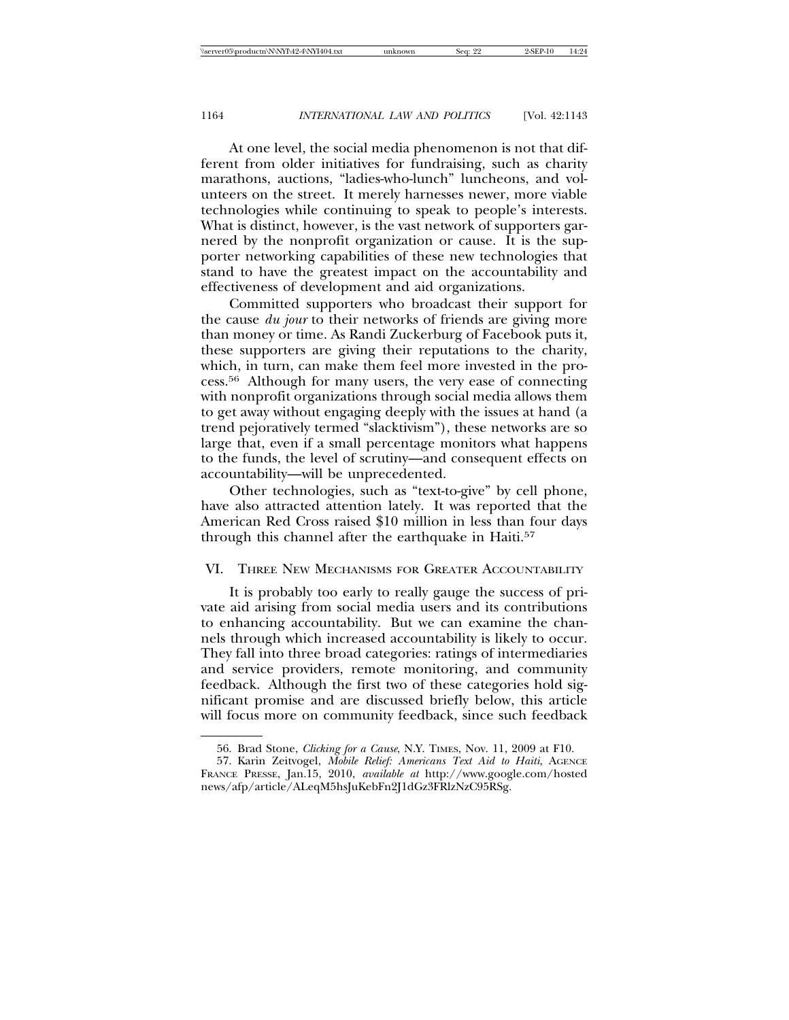At one level, the social media phenomenon is not that different from older initiatives for fundraising, such as charity marathons, auctions, "ladies-who-lunch" luncheons, and volunteers on the street. It merely harnesses newer, more viable technologies while continuing to speak to people's interests. What is distinct, however, is the vast network of supporters garnered by the nonprofit organization or cause. It is the supporter networking capabilities of these new technologies that stand to have the greatest impact on the accountability and effectiveness of development and aid organizations.

Committed supporters who broadcast their support for the cause *du jour* to their networks of friends are giving more than money or time. As Randi Zuckerburg of Facebook puts it, these supporters are giving their reputations to the charity, which, in turn, can make them feel more invested in the process.56 Although for many users, the very ease of connecting with nonprofit organizations through social media allows them to get away without engaging deeply with the issues at hand (a trend pejoratively termed "slacktivism"), these networks are so large that, even if a small percentage monitors what happens to the funds, the level of scrutiny—and consequent effects on accountability—will be unprecedented.

Other technologies, such as "text-to-give" by cell phone, have also attracted attention lately. It was reported that the American Red Cross raised \$10 million in less than four days through this channel after the earthquake in Haiti.<sup>57</sup>

### VI. THREE NEW MECHANISMS FOR GREATER ACCOUNTABILITY

It is probably too early to really gauge the success of private aid arising from social media users and its contributions to enhancing accountability. But we can examine the channels through which increased accountability is likely to occur. They fall into three broad categories: ratings of intermediaries and service providers, remote monitoring, and community feedback. Although the first two of these categories hold significant promise and are discussed briefly below, this article will focus more on community feedback, since such feedback

<sup>56.</sup> Brad Stone, *Clicking for a Cause*, N.Y. TIMES, Nov. 11, 2009 at F10.

<sup>57.</sup> Karin Zeitvogel, *Mobile Relief: Americans Text Aid to Haiti*, AGENCE FRANCE PRESSE, Jan.15, 2010, *available at* http://www.google.com/hosted news/afp/article/ALeqM5hsJuKebFn2J1dGz3FRlzNzC95RSg.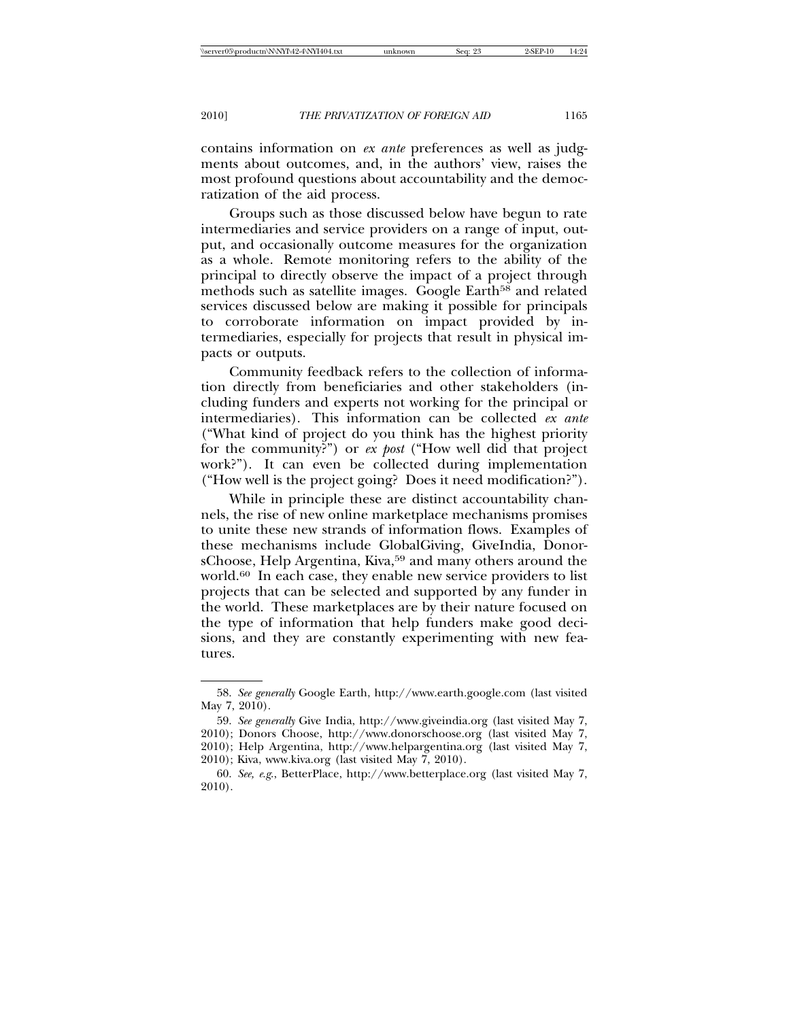contains information on *ex ante* preferences as well as judgments about outcomes, and, in the authors' view, raises the most profound questions about accountability and the democratization of the aid process.

Groups such as those discussed below have begun to rate intermediaries and service providers on a range of input, output, and occasionally outcome measures for the organization as a whole. Remote monitoring refers to the ability of the principal to directly observe the impact of a project through methods such as satellite images. Google Earth<sup>58</sup> and related services discussed below are making it possible for principals to corroborate information on impact provided by intermediaries, especially for projects that result in physical impacts or outputs.

Community feedback refers to the collection of information directly from beneficiaries and other stakeholders (including funders and experts not working for the principal or intermediaries). This information can be collected *ex ante* ("What kind of project do you think has the highest priority for the community?") or *ex post* ("How well did that project work?"). It can even be collected during implementation ("How well is the project going? Does it need modification?").

While in principle these are distinct accountability channels, the rise of new online marketplace mechanisms promises to unite these new strands of information flows. Examples of these mechanisms include GlobalGiving, GiveIndia, DonorsChoose, Help Argentina, Kiva,<sup>59</sup> and many others around the world.60 In each case, they enable new service providers to list projects that can be selected and supported by any funder in the world. These marketplaces are by their nature focused on the type of information that help funders make good decisions, and they are constantly experimenting with new features.

2010); Help Argentina, http://www.helpargentina.org (last visited May 7, 2010); Kiva, www.kiva.org (last visited May 7, 2010).

<sup>58.</sup> *See generally* Google Earth, http://www.earth.google.com (last visited May 7, 2010).

<sup>59.</sup> *See generally* Give India, http://www.giveindia.org (last visited May 7,

<sup>2010);</sup> Donors Choose, http://www.donorschoose.org (last visited May 7,

<sup>60.</sup> *See, e*.*g*., BetterPlace, http://www.betterplace.org (last visited May 7, 2010).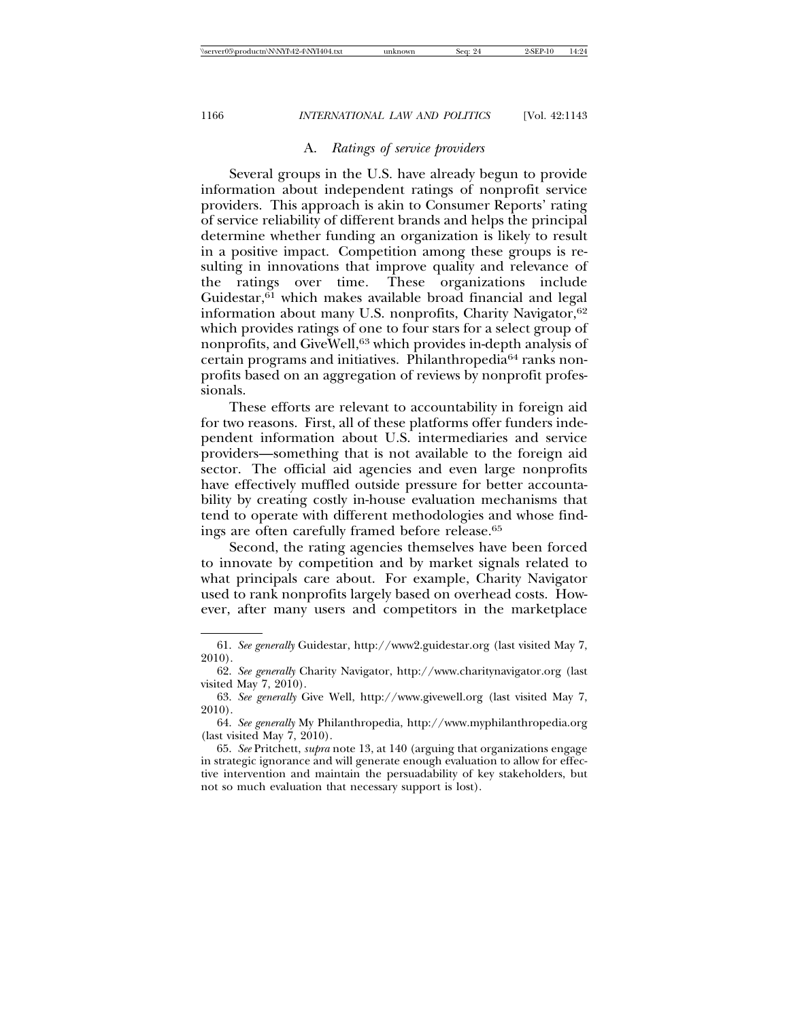## A. *Ratings of service providers*

Several groups in the U.S. have already begun to provide information about independent ratings of nonprofit service providers. This approach is akin to Consumer Reports' rating of service reliability of different brands and helps the principal determine whether funding an organization is likely to result in a positive impact. Competition among these groups is resulting in innovations that improve quality and relevance of the ratings over time. These organizations include Guidestar, $61$  which makes available broad financial and legal information about many U.S. nonprofits, Charity Navigator,<sup>62</sup> which provides ratings of one to four stars for a select group of nonprofits, and GiveWell,63 which provides in-depth analysis of certain programs and initiatives. Philanthropedia64 ranks nonprofits based on an aggregation of reviews by nonprofit professionals.

These efforts are relevant to accountability in foreign aid for two reasons. First, all of these platforms offer funders independent information about U.S. intermediaries and service providers—something that is not available to the foreign aid sector. The official aid agencies and even large nonprofits have effectively muffled outside pressure for better accountability by creating costly in-house evaluation mechanisms that tend to operate with different methodologies and whose findings are often carefully framed before release.65

Second, the rating agencies themselves have been forced to innovate by competition and by market signals related to what principals care about. For example, Charity Navigator used to rank nonprofits largely based on overhead costs. However, after many users and competitors in the marketplace

<sup>61.</sup> *See generally* Guidestar, http://www2.guidestar.org (last visited May 7, 2010).

<sup>62.</sup> *See generally* Charity Navigator, http://www.charitynavigator.org (last visited May 7, 2010).

<sup>63.</sup> *See generally* Give Well, http://www.givewell.org (last visited May 7, 2010).

<sup>64.</sup> *See generally* My Philanthropedia, http://www.myphilanthropedia.org (last visited May 7, 2010).

<sup>65.</sup> *See* Pritchett, *supra* note 13, at 140 (arguing that organizations engage in strategic ignorance and will generate enough evaluation to allow for effective intervention and maintain the persuadability of key stakeholders, but not so much evaluation that necessary support is lost).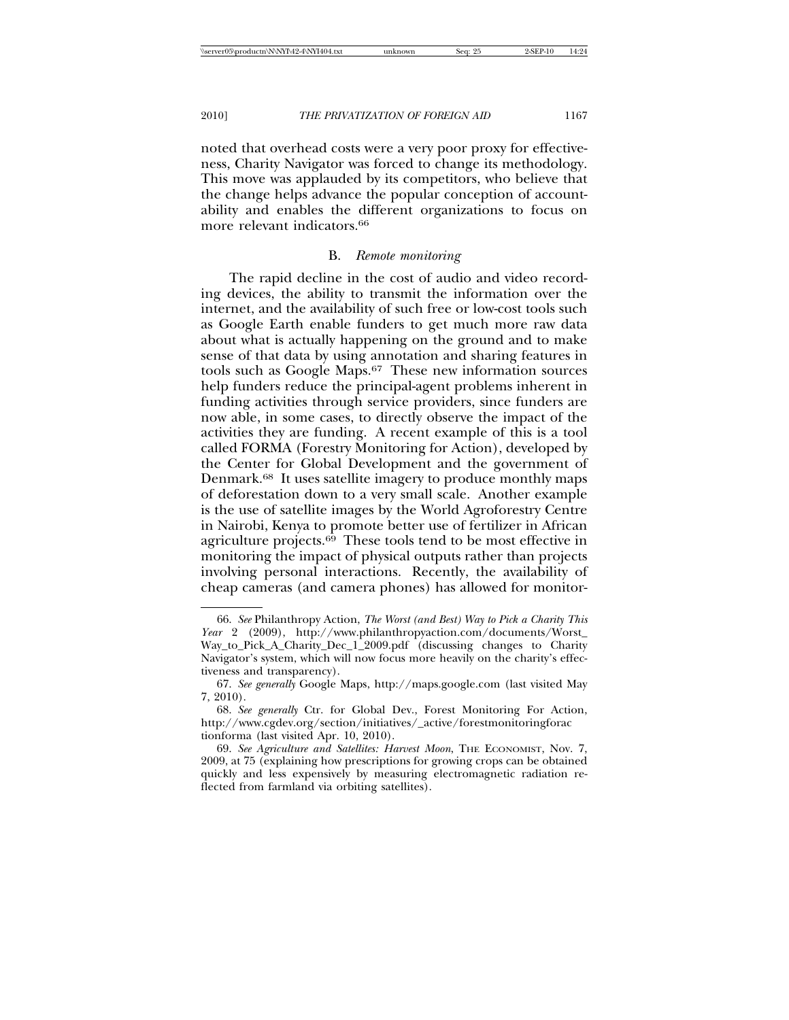noted that overhead costs were a very poor proxy for effectiveness, Charity Navigator was forced to change its methodology. This move was applauded by its competitors, who believe that the change helps advance the popular conception of accountability and enables the different organizations to focus on more relevant indicators.<sup>66</sup>

### B. *Remote monitoring*

The rapid decline in the cost of audio and video recording devices, the ability to transmit the information over the internet, and the availability of such free or low-cost tools such as Google Earth enable funders to get much more raw data about what is actually happening on the ground and to make sense of that data by using annotation and sharing features in tools such as Google Maps.67 These new information sources help funders reduce the principal-agent problems inherent in funding activities through service providers, since funders are now able, in some cases, to directly observe the impact of the activities they are funding. A recent example of this is a tool called FORMA (Forestry Monitoring for Action), developed by the Center for Global Development and the government of Denmark.68 It uses satellite imagery to produce monthly maps of deforestation down to a very small scale. Another example is the use of satellite images by the World Agroforestry Centre in Nairobi, Kenya to promote better use of fertilizer in African agriculture projects.<sup>69</sup> These tools tend to be most effective in monitoring the impact of physical outputs rather than projects involving personal interactions. Recently, the availability of cheap cameras (and camera phones) has allowed for monitor-

<sup>66.</sup> *See* Philanthropy Action, *The Worst (and Best) Way to Pick a Charity This Year* 2 (2009), http://www.philanthropyaction.com/documents/Worst\_ Way\_to\_Pick\_A\_Charity\_Dec\_1\_2009.pdf (discussing changes to Charity Navigator's system, which will now focus more heavily on the charity's effectiveness and transparency).

<sup>67.</sup> *See generally* Google Maps, http://maps.google.com (last visited May 7, 2010).

<sup>68.</sup> *See generally* Ctr. for Global Dev., Forest Monitoring For Action, http://www.cgdev.org/section/initiatives/\_active/forestmonitoringforac tionforma (last visited Apr. 10, 2010).

<sup>69.</sup> *See Agriculture and Satellites: Harvest Moon*, THE ECONOMIST, Nov. 7, 2009, at 75 (explaining how prescriptions for growing crops can be obtained quickly and less expensively by measuring electromagnetic radiation reflected from farmland via orbiting satellites).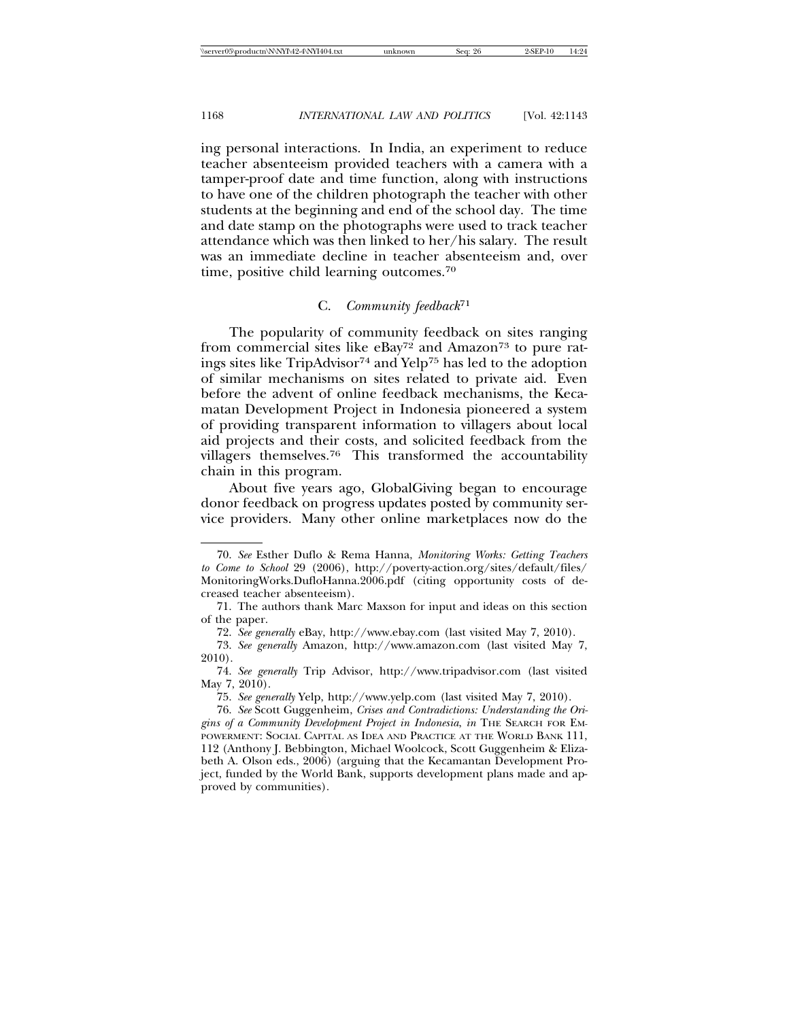ing personal interactions. In India, an experiment to reduce teacher absenteeism provided teachers with a camera with a tamper-proof date and time function, along with instructions to have one of the children photograph the teacher with other students at the beginning and end of the school day. The time and date stamp on the photographs were used to track teacher attendance which was then linked to her/his salary. The result was an immediate decline in teacher absenteeism and, over time, positive child learning outcomes.<sup>70</sup>

## C. *Community feedback*<sup>71</sup>

The popularity of community feedback on sites ranging from commercial sites like  $e$ Bay<sup>72</sup> and Amazon<sup>73</sup> to pure ratings sites like TripAdvisor74 and Yelp75 has led to the adoption of similar mechanisms on sites related to private aid. Even before the advent of online feedback mechanisms, the Kecamatan Development Project in Indonesia pioneered a system of providing transparent information to villagers about local aid projects and their costs, and solicited feedback from the villagers themselves.76 This transformed the accountability chain in this program.

About five years ago, GlobalGiving began to encourage donor feedback on progress updates posted by community service providers. Many other online marketplaces now do the

<sup>70.</sup> *See* Esther Duflo & Rema Hanna, *Monitoring Works: Getting Teachers to Come to School* 29 (2006), http://poverty-action.org/sites/default/files/ MonitoringWorks.DufloHanna.2006.pdf (citing opportunity costs of decreased teacher absenteeism).

<sup>71.</sup> The authors thank Marc Maxson for input and ideas on this section of the paper.

<sup>72.</sup> *See generally* eBay, http://www.ebay.com (last visited May 7, 2010).

<sup>73.</sup> *See generally* Amazon, http://www.amazon.com (last visited May 7, 2010).

<sup>74.</sup> *See generally* Trip Advisor, http://www.tripadvisor.com (last visited May 7, 2010).

<sup>75.</sup> *See generally* Yelp, http://www.yelp.com (last visited May 7, 2010).

<sup>76.</sup> *See* Scott Guggenheim, *Crises and Contradictions: Understanding the Origins of a Community Development Project in Indonesia*, *in* THE SEARCH FOR EM-POWERMENT: SOCIAL CAPITAL AS IDEA AND PRACTICE AT THE WORLD BANK 111, 112 (Anthony J. Bebbington, Michael Woolcock, Scott Guggenheim & Elizabeth A. Olson eds., 2006) (arguing that the Kecamantan Development Project, funded by the World Bank, supports development plans made and approved by communities).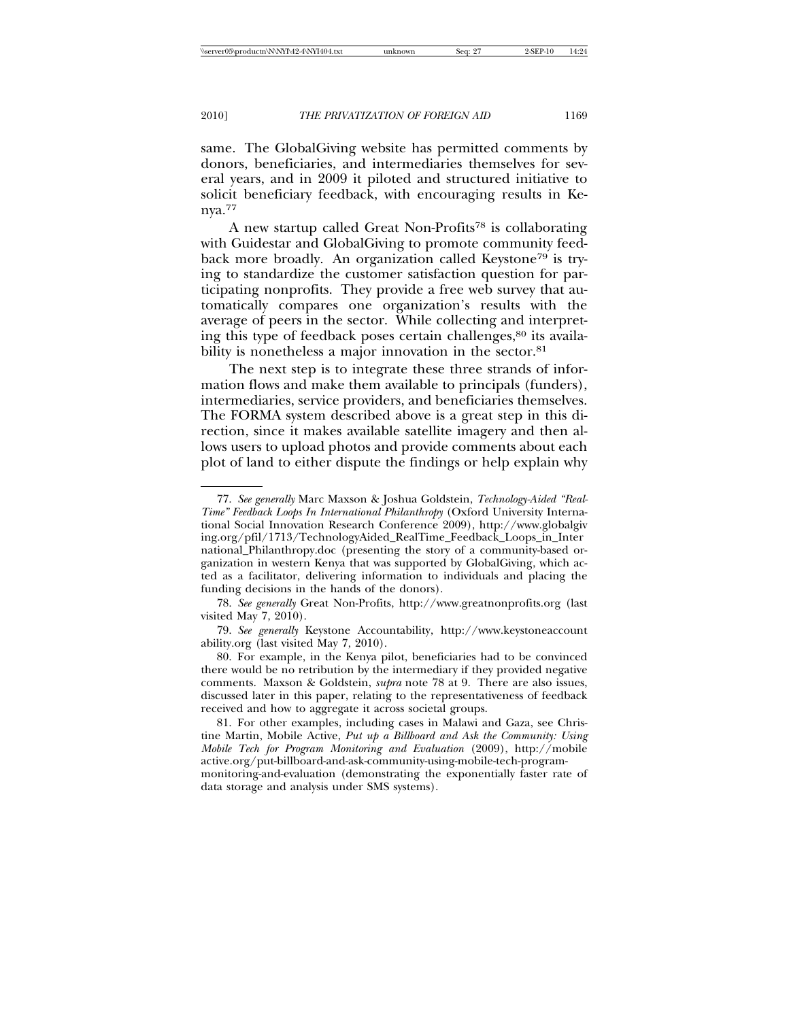same. The GlobalGiving website has permitted comments by donors, beneficiaries, and intermediaries themselves for several years, and in 2009 it piloted and structured initiative to solicit beneficiary feedback, with encouraging results in Kenya.77

A new startup called Great Non-Profits78 is collaborating with Guidestar and GlobalGiving to promote community feedback more broadly. An organization called Keystone<sup>79</sup> is trying to standardize the customer satisfaction question for participating nonprofits. They provide a free web survey that automatically compares one organization's results with the average of peers in the sector. While collecting and interpreting this type of feedback poses certain challenges,<sup>80</sup> its availability is nonetheless a major innovation in the sector.<sup>81</sup>

The next step is to integrate these three strands of information flows and make them available to principals (funders), intermediaries, service providers, and beneficiaries themselves. The FORMA system described above is a great step in this direction, since it makes available satellite imagery and then allows users to upload photos and provide comments about each plot of land to either dispute the findings or help explain why

data storage and analysis under SMS systems).

<sup>77.</sup> *See generally* Marc Maxson & Joshua Goldstein, *Technology-Aided "Real-Time" Feedback Loops In International Philanthropy* (Oxford University International Social Innovation Research Conference 2009), http://www.globalgiv ing.org/pfil/1713/TechnologyAided\_RealTime\_Feedback\_Loops\_in\_Inter national\_Philanthropy.doc (presenting the story of a community-based organization in western Kenya that was supported by GlobalGiving, which acted as a facilitator, delivering information to individuals and placing the funding decisions in the hands of the donors).

<sup>78.</sup> *See generally* Great Non-Profits, http://www.greatnonprofits.org (last visited May 7, 2010).

<sup>79.</sup> *See generally* Keystone Accountability, http://www.keystoneaccount ability.org (last visited May 7, 2010).

<sup>80.</sup> For example, in the Kenya pilot, beneficiaries had to be convinced there would be no retribution by the intermediary if they provided negative comments. Maxson & Goldstein, *supra* note 78 at 9. There are also issues, discussed later in this paper, relating to the representativeness of feedback received and how to aggregate it across societal groups.

<sup>81.</sup> For other examples, including cases in Malawi and Gaza, see Christine Martin, Mobile Active, *Put up a Billboard and Ask the Community: Using Mobile Tech for Program Monitoring and Evaluation* (2009), http://mobile active.org/put-billboard-and-ask-community-using-mobile-tech-programmonitoring-and-evaluation (demonstrating the exponentially faster rate of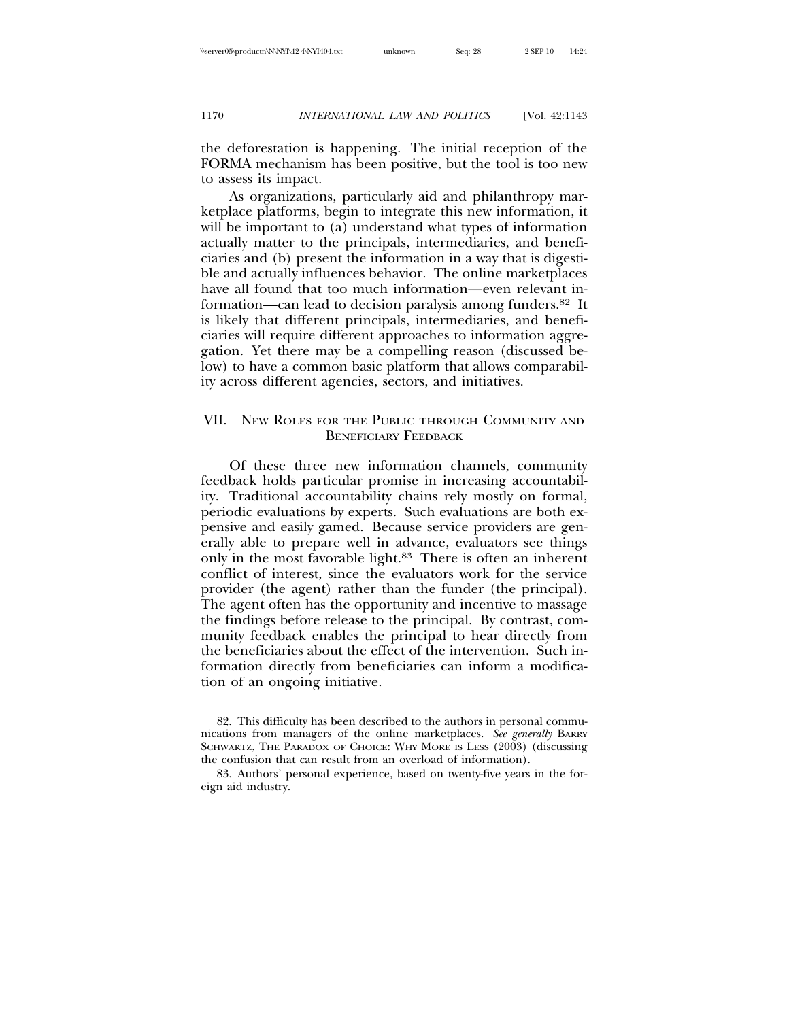the deforestation is happening. The initial reception of the FORMA mechanism has been positive, but the tool is too new to assess its impact.

As organizations, particularly aid and philanthropy marketplace platforms, begin to integrate this new information, it will be important to (a) understand what types of information actually matter to the principals, intermediaries, and beneficiaries and (b) present the information in a way that is digestible and actually influences behavior. The online marketplaces have all found that too much information—even relevant information—can lead to decision paralysis among funders.82 It is likely that different principals, intermediaries, and beneficiaries will require different approaches to information aggregation. Yet there may be a compelling reason (discussed below) to have a common basic platform that allows comparability across different agencies, sectors, and initiatives.

## VII. NEW ROLES FOR THE PUBLIC THROUGH COMMUNITY AND BENEFICIARY FEEDBACK

Of these three new information channels, community feedback holds particular promise in increasing accountability. Traditional accountability chains rely mostly on formal, periodic evaluations by experts. Such evaluations are both expensive and easily gamed. Because service providers are generally able to prepare well in advance, evaluators see things only in the most favorable light.83 There is often an inherent conflict of interest, since the evaluators work for the service provider (the agent) rather than the funder (the principal). The agent often has the opportunity and incentive to massage the findings before release to the principal. By contrast, community feedback enables the principal to hear directly from the beneficiaries about the effect of the intervention. Such information directly from beneficiaries can inform a modification of an ongoing initiative.

<sup>82.</sup> This difficulty has been described to the authors in personal communications from managers of the online marketplaces. *See generally* BARRY SCHWARTZ, THE PARADOX OF CHOICE: WHY MORE IS LESS (2003) (discussing the confusion that can result from an overload of information).

<sup>83.</sup> Authors' personal experience, based on twenty-five years in the foreign aid industry.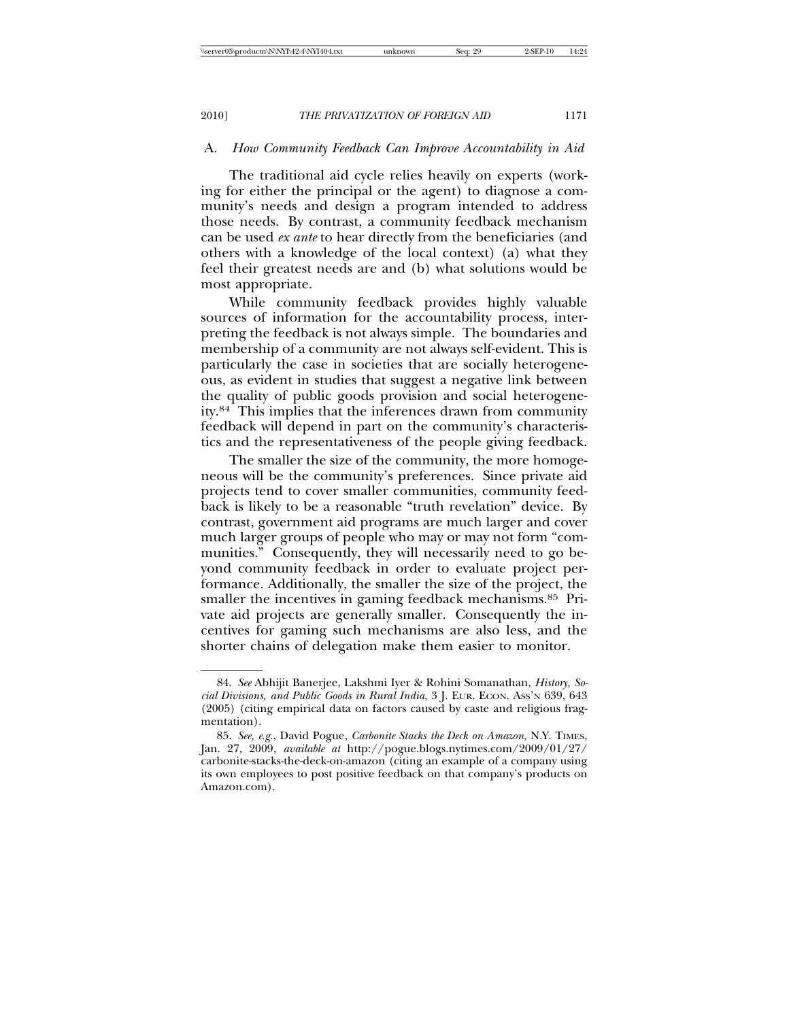## A. *How Community Feedback Can Improve Accountability in Aid*

The traditional aid cycle relies heavily on experts (working for either the principal or the agent) to diagnose a community's needs and design a program intended to address those needs. By contrast, a community feedback mechanism can be used *ex ante* to hear directly from the beneficiaries (and others with a knowledge of the local context) (a) what they feel their greatest needs are and (b) what solutions would be most appropriate.

While community feedback provides highly valuable sources of information for the accountability process, interpreting the feedback is not always simple. The boundaries and membership of a community are not always self-evident. This is particularly the case in societies that are socially heterogeneous, as evident in studies that suggest a negative link between the quality of public goods provision and social heterogeneity.84 This implies that the inferences drawn from community feedback will depend in part on the community's characteristics and the representativeness of the people giving feedback.

The smaller the size of the community, the more homogeneous will be the community's preferences. Since private aid projects tend to cover smaller communities, community feedback is likely to be a reasonable "truth revelation" device. By contrast, government aid programs are much larger and cover much larger groups of people who may or may not form "communities." Consequently, they will necessarily need to go beyond community feedback in order to evaluate project performance. Additionally, the smaller the size of the project, the smaller the incentives in gaming feedback mechanisms.<sup>85</sup> Private aid projects are generally smaller. Consequently the incentives for gaming such mechanisms are also less, and the shorter chains of delegation make them easier to monitor.

<sup>84.</sup> *See* Abhijit Banerjee, Lakshmi Iyer & Rohini Somanathan, *History, Social Divisions, and Public Goods in Rural India*, 3 J. EUR. ECON. ASS'N 639, 643 (2005) (citing empirical data on factors caused by caste and religious fragmentation).

<sup>85.</sup> *See, e*.*g*., David Pogue, *Carbonite Stacks the Deck on Amazon*, N.Y. TIMES, Jan. 27, 2009, *available at* http://pogue.blogs.nytimes.com/2009/01/27/ carbonite-stacks-the-deck-on-amazon (citing an example of a company using its own employees to post positive feedback on that company's products on Amazon.com).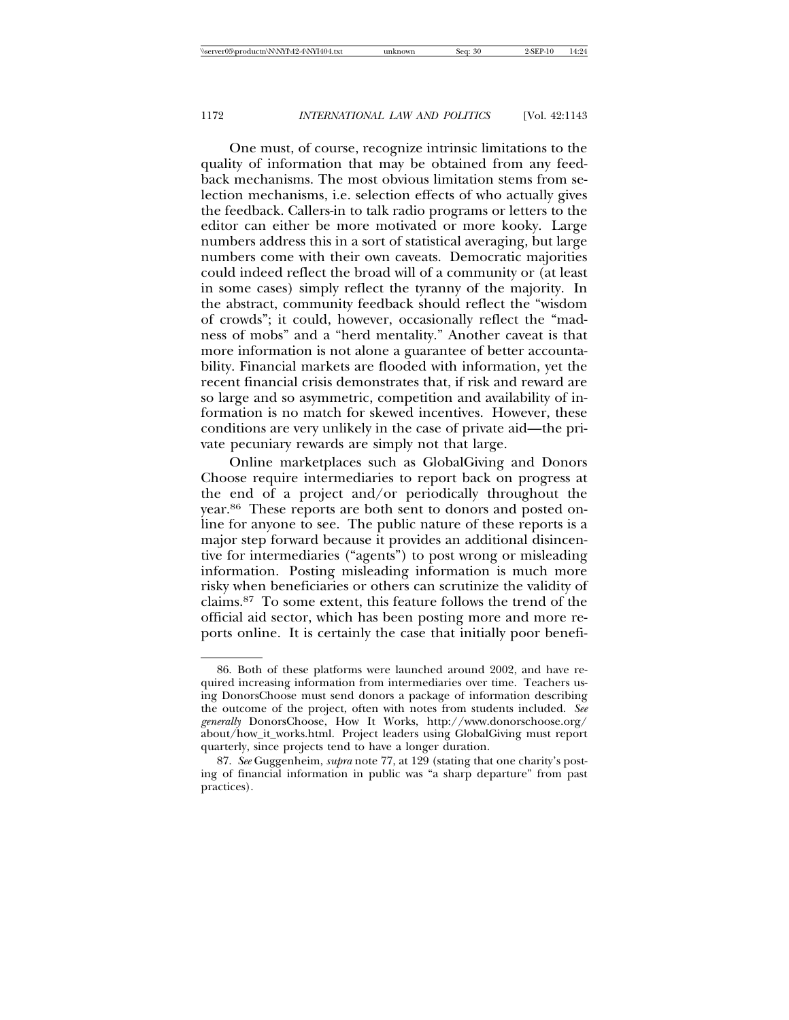One must, of course, recognize intrinsic limitations to the quality of information that may be obtained from any feedback mechanisms. The most obvious limitation stems from selection mechanisms, i.e. selection effects of who actually gives the feedback. Callers-in to talk radio programs or letters to the editor can either be more motivated or more kooky. Large numbers address this in a sort of statistical averaging, but large numbers come with their own caveats. Democratic majorities could indeed reflect the broad will of a community or (at least in some cases) simply reflect the tyranny of the majority. In the abstract, community feedback should reflect the "wisdom of crowds"; it could, however, occasionally reflect the "madness of mobs" and a "herd mentality." Another caveat is that more information is not alone a guarantee of better accountability. Financial markets are flooded with information, yet the recent financial crisis demonstrates that, if risk and reward are so large and so asymmetric, competition and availability of information is no match for skewed incentives. However, these conditions are very unlikely in the case of private aid—the private pecuniary rewards are simply not that large.

Online marketplaces such as GlobalGiving and Donors Choose require intermediaries to report back on progress at the end of a project and/or periodically throughout the year.86 These reports are both sent to donors and posted online for anyone to see. The public nature of these reports is a major step forward because it provides an additional disincentive for intermediaries ("agents") to post wrong or misleading information. Posting misleading information is much more risky when beneficiaries or others can scrutinize the validity of claims.87 To some extent, this feature follows the trend of the official aid sector, which has been posting more and more reports online. It is certainly the case that initially poor benefi-

<sup>86.</sup> Both of these platforms were launched around 2002, and have required increasing information from intermediaries over time. Teachers using DonorsChoose must send donors a package of information describing the outcome of the project, often with notes from students included. *See generally* DonorsChoose, How It Works, http://www.donorschoose.org/ about/how\_it\_works.html. Project leaders using GlobalGiving must report quarterly, since projects tend to have a longer duration.

<sup>87.</sup> *See* Guggenheim, *supra* note 77, at 129 (stating that one charity's posting of financial information in public was "a sharp departure" from past practices).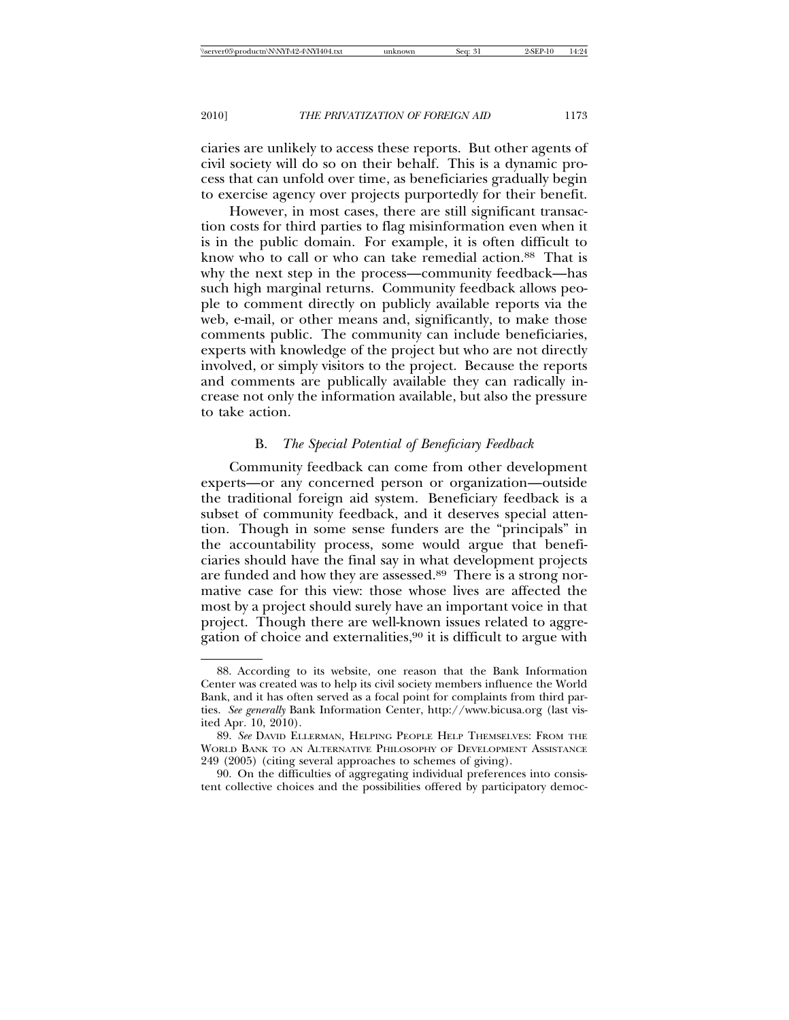ciaries are unlikely to access these reports. But other agents of civil society will do so on their behalf. This is a dynamic process that can unfold over time, as beneficiaries gradually begin to exercise agency over projects purportedly for their benefit.

However, in most cases, there are still significant transaction costs for third parties to flag misinformation even when it is in the public domain. For example, it is often difficult to know who to call or who can take remedial action.88 That is why the next step in the process—community feedback—has such high marginal returns. Community feedback allows people to comment directly on publicly available reports via the web, e-mail, or other means and, significantly, to make those comments public. The community can include beneficiaries, experts with knowledge of the project but who are not directly involved, or simply visitors to the project. Because the reports and comments are publically available they can radically increase not only the information available, but also the pressure to take action.

#### B. *The Special Potential of Beneficiary Feedback*

Community feedback can come from other development experts—or any concerned person or organization—outside the traditional foreign aid system. Beneficiary feedback is a subset of community feedback, and it deserves special attention. Though in some sense funders are the "principals" in the accountability process, some would argue that beneficiaries should have the final say in what development projects are funded and how they are assessed.<sup>89</sup> There is a strong normative case for this view: those whose lives are affected the most by a project should surely have an important voice in that project. Though there are well-known issues related to aggregation of choice and externalities,90 it is difficult to argue with

<sup>88.</sup> According to its website, one reason that the Bank Information Center was created was to help its civil society members influence the World Bank, and it has often served as a focal point for complaints from third parties. *See generally* Bank Information Center, http://www.bicusa.org (last visited Apr. 10, 2010).

<sup>89.</sup> *See* DAVID ELLERMAN, HELPING PEOPLE HELP THEMSELVES: FROM THE WORLD BANK TO AN ALTERNATIVE PHILOSOPHY OF DEVELOPMENT ASSISTANCE 249 (2005) (citing several approaches to schemes of giving).

<sup>90.</sup> On the difficulties of aggregating individual preferences into consistent collective choices and the possibilities offered by participatory democ-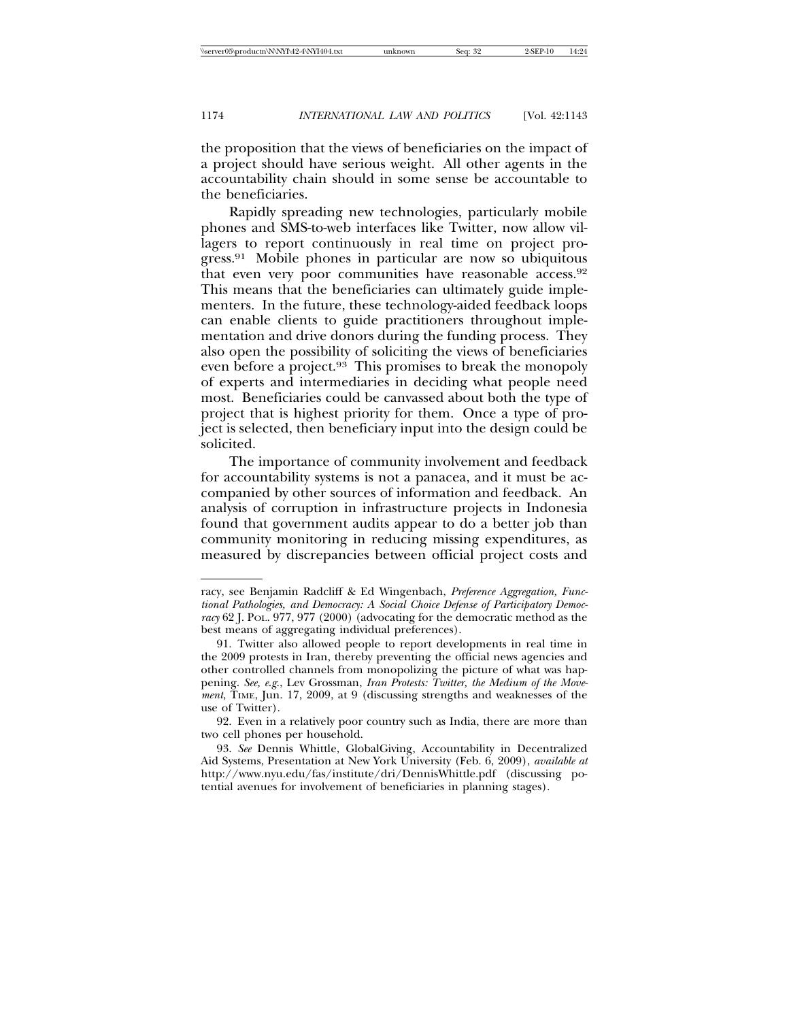the proposition that the views of beneficiaries on the impact of a project should have serious weight. All other agents in the accountability chain should in some sense be accountable to the beneficiaries.

Rapidly spreading new technologies, particularly mobile phones and SMS-to-web interfaces like Twitter, now allow villagers to report continuously in real time on project progress.91 Mobile phones in particular are now so ubiquitous that even very poor communities have reasonable access.92 This means that the beneficiaries can ultimately guide implementers. In the future, these technology-aided feedback loops can enable clients to guide practitioners throughout implementation and drive donors during the funding process. They also open the possibility of soliciting the views of beneficiaries even before a project.<sup>93</sup> This promises to break the monopoly of experts and intermediaries in deciding what people need most. Beneficiaries could be canvassed about both the type of project that is highest priority for them. Once a type of project is selected, then beneficiary input into the design could be solicited.

The importance of community involvement and feedback for accountability systems is not a panacea, and it must be accompanied by other sources of information and feedback. An analysis of corruption in infrastructure projects in Indonesia found that government audits appear to do a better job than community monitoring in reducing missing expenditures, as measured by discrepancies between official project costs and

racy, see Benjamin Radcliff & Ed Wingenbach, *Preference Aggregation, Functional Pathologies, and Democracy: A Social Choice Defense of Participatory Democracy* 62 J. POL. 977, 977 (2000) (advocating for the democratic method as the best means of aggregating individual preferences).

<sup>91.</sup> Twitter also allowed people to report developments in real time in the 2009 protests in Iran, thereby preventing the official news agencies and other controlled channels from monopolizing the picture of what was happening. *See, e*.*g*., Lev Grossman, *Iran Protests: Twitter, the Medium of the Movement*, TIME, Jun. 17, 2009, at 9 (discussing strengths and weaknesses of the use of Twitter).

<sup>92.</sup> Even in a relatively poor country such as India, there are more than two cell phones per household.

<sup>93.</sup> *See* Dennis Whittle, GlobalGiving, Accountability in Decentralized Aid Systems, Presentation at New York University (Feb. 6, 2009), *available at* http://www.nyu.edu/fas/institute/dri/DennisWhittle.pdf (discussing potential avenues for involvement of beneficiaries in planning stages).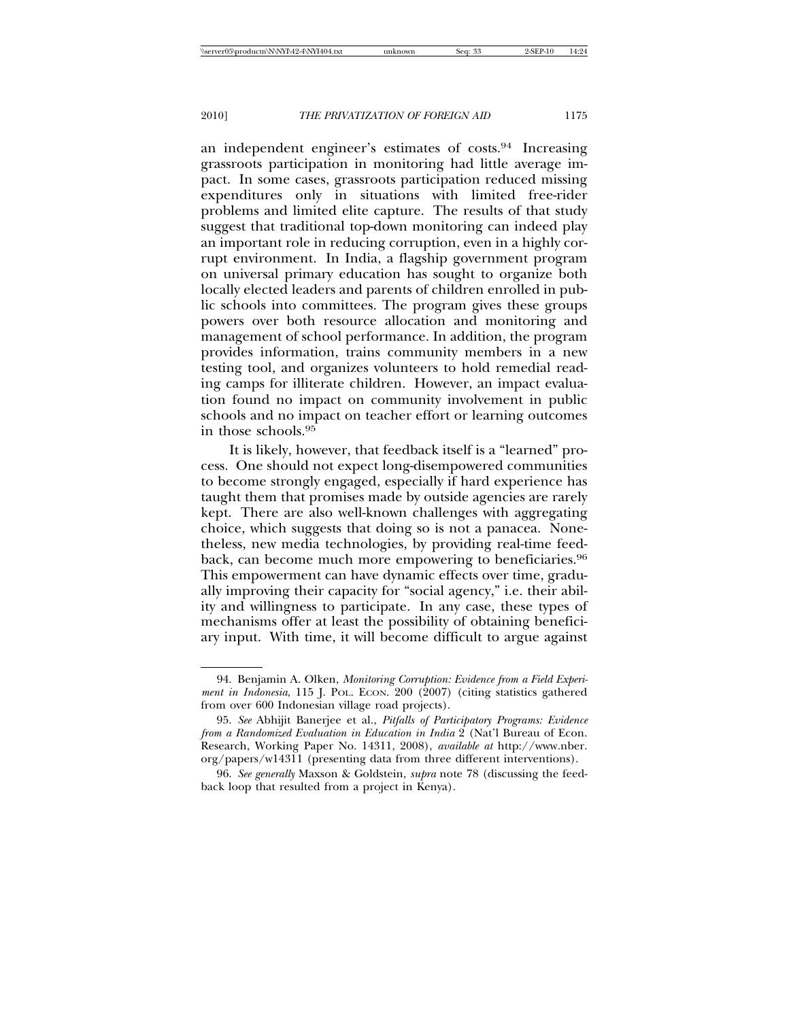an independent engineer's estimates of costs.94 Increasing grassroots participation in monitoring had little average impact. In some cases, grassroots participation reduced missing expenditures only in situations with limited free-rider problems and limited elite capture. The results of that study suggest that traditional top-down monitoring can indeed play an important role in reducing corruption, even in a highly corrupt environment. In India, a flagship government program on universal primary education has sought to organize both locally elected leaders and parents of children enrolled in public schools into committees. The program gives these groups powers over both resource allocation and monitoring and management of school performance. In addition, the program provides information, trains community members in a new testing tool, and organizes volunteers to hold remedial reading camps for illiterate children. However, an impact evaluation found no impact on community involvement in public schools and no impact on teacher effort or learning outcomes in those schools.95

It is likely, however, that feedback itself is a "learned" process. One should not expect long-disempowered communities to become strongly engaged, especially if hard experience has taught them that promises made by outside agencies are rarely kept. There are also well-known challenges with aggregating choice, which suggests that doing so is not a panacea. Nonetheless, new media technologies, by providing real-time feedback, can become much more empowering to beneficiaries.<sup>96</sup> This empowerment can have dynamic effects over time, gradually improving their capacity for "social agency," i.e. their ability and willingness to participate. In any case, these types of mechanisms offer at least the possibility of obtaining beneficiary input. With time, it will become difficult to argue against

<sup>94.</sup> Benjamin A. Olken, *Monitoring Corruption: Evidence from a Field Experiment in Indonesia*, 115 J. POL. ECON. 200 (2007) (citing statistics gathered from over 600 Indonesian village road projects).

<sup>95.</sup> *See* Abhijit Banerjee et al., *Pitfalls of Participatory Programs: Evidence from a Randomized Evaluation in Education in India* 2 (Nat'l Bureau of Econ. Research, Working Paper No. 14311, 2008), *available at* http://www.nber. org/papers/w14311 (presenting data from three different interventions).

<sup>96.</sup> *See generally* Maxson & Goldstein, *supra* note 78 (discussing the feedback loop that resulted from a project in Kenya).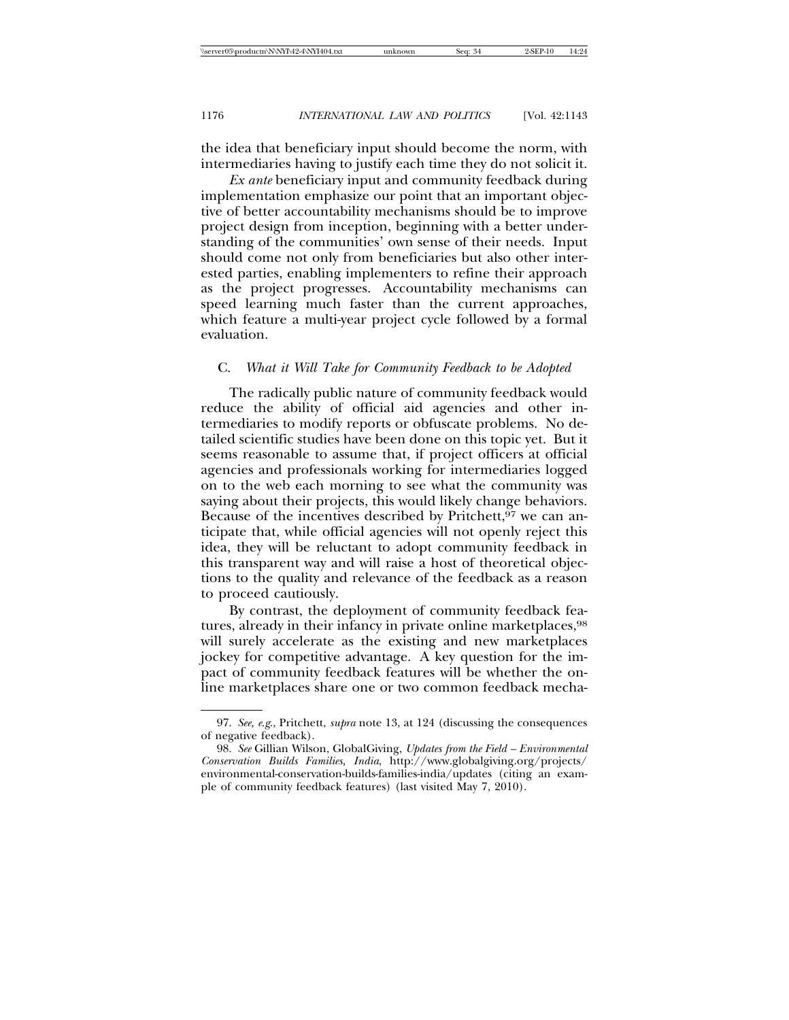the idea that beneficiary input should become the norm, with intermediaries having to justify each time they do not solicit it.

*Ex ante* beneficiary input and community feedback during implementation emphasize our point that an important objective of better accountability mechanisms should be to improve project design from inception, beginning with a better understanding of the communities' own sense of their needs. Input should come not only from beneficiaries but also other interested parties, enabling implementers to refine their approach as the project progresses. Accountability mechanisms can speed learning much faster than the current approaches, which feature a multi-year project cycle followed by a formal evaluation.

## C. *What it Will Take for Community Feedback to be Adopted*

The radically public nature of community feedback would reduce the ability of official aid agencies and other intermediaries to modify reports or obfuscate problems. No detailed scientific studies have been done on this topic yet. But it seems reasonable to assume that, if project officers at official agencies and professionals working for intermediaries logged on to the web each morning to see what the community was saying about their projects, this would likely change behaviors. Because of the incentives described by Pritchett,  $97$  we can anticipate that, while official agencies will not openly reject this idea, they will be reluctant to adopt community feedback in this transparent way and will raise a host of theoretical objections to the quality and relevance of the feedback as a reason to proceed cautiously.

By contrast, the deployment of community feedback features, already in their infancy in private online marketplaces, <sup>98</sup> will surely accelerate as the existing and new marketplaces jockey for competitive advantage. A key question for the impact of community feedback features will be whether the online marketplaces share one or two common feedback mecha-

<sup>97.</sup> *See, e*.*g*., Pritchett, *supra* note 13, at 124 (discussing the consequences of negative feedback).

<sup>98.</sup> *See* Gillian Wilson, GlobalGiving, *Updates from the Field – Environmental Conservation Builds Families, India*, http://www.globalgiving.org/projects/ environmental-conservation-builds-families-india/updates (citing an example of community feedback features) (last visited May 7, 2010).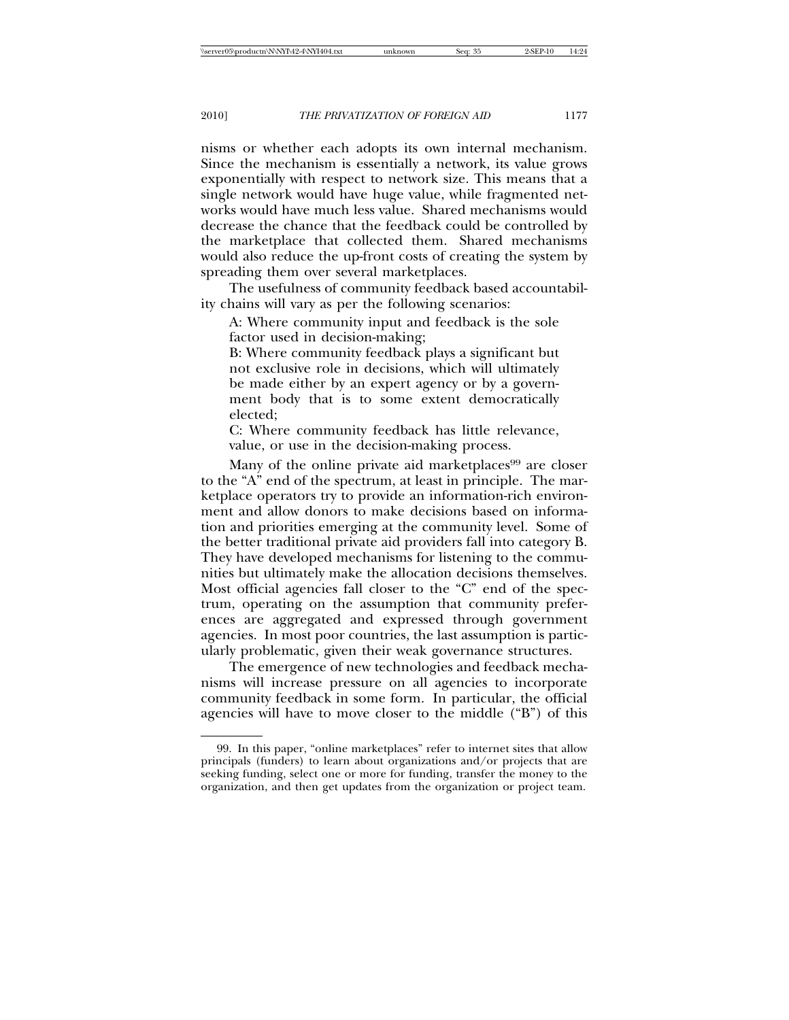nisms or whether each adopts its own internal mechanism. Since the mechanism is essentially a network, its value grows exponentially with respect to network size. This means that a single network would have huge value, while fragmented networks would have much less value. Shared mechanisms would decrease the chance that the feedback could be controlled by the marketplace that collected them. Shared mechanisms would also reduce the up-front costs of creating the system by spreading them over several marketplaces.

The usefulness of community feedback based accountability chains will vary as per the following scenarios:

A: Where community input and feedback is the sole factor used in decision-making;

B: Where community feedback plays a significant but not exclusive role in decisions, which will ultimately be made either by an expert agency or by a government body that is to some extent democratically elected;

C: Where community feedback has little relevance, value, or use in the decision-making process.

Many of the online private aid marketplaces<sup>99</sup> are closer to the "A" end of the spectrum, at least in principle. The marketplace operators try to provide an information-rich environment and allow donors to make decisions based on information and priorities emerging at the community level. Some of the better traditional private aid providers fall into category B. They have developed mechanisms for listening to the communities but ultimately make the allocation decisions themselves. Most official agencies fall closer to the "C" end of the spectrum, operating on the assumption that community preferences are aggregated and expressed through government agencies. In most poor countries, the last assumption is particularly problematic, given their weak governance structures.

The emergence of new technologies and feedback mechanisms will increase pressure on all agencies to incorporate community feedback in some form. In particular, the official agencies will have to move closer to the middle ("B") of this

<sup>99.</sup> In this paper, "online marketplaces" refer to internet sites that allow principals (funders) to learn about organizations and/or projects that are seeking funding, select one or more for funding, transfer the money to the organization, and then get updates from the organization or project team.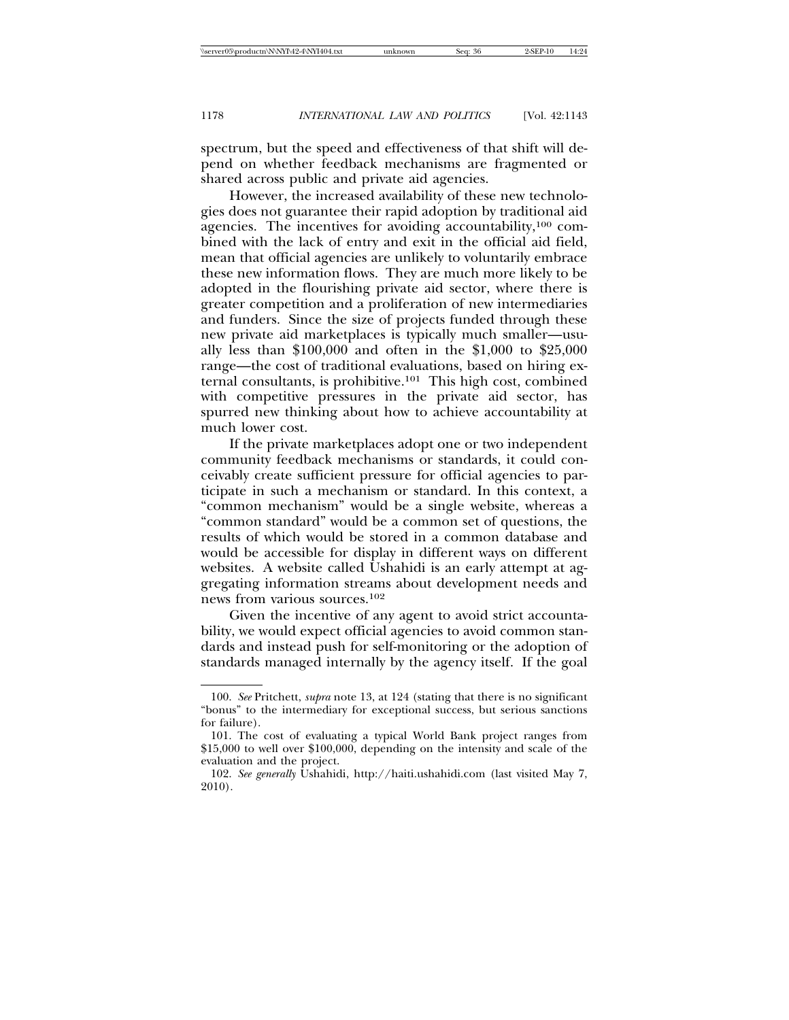spectrum, but the speed and effectiveness of that shift will depend on whether feedback mechanisms are fragmented or shared across public and private aid agencies.

However, the increased availability of these new technologies does not guarantee their rapid adoption by traditional aid agencies. The incentives for avoiding accountability,100 combined with the lack of entry and exit in the official aid field, mean that official agencies are unlikely to voluntarily embrace these new information flows. They are much more likely to be adopted in the flourishing private aid sector, where there is greater competition and a proliferation of new intermediaries and funders. Since the size of projects funded through these new private aid marketplaces is typically much smaller—usually less than \$100,000 and often in the \$1,000 to \$25,000 range—the cost of traditional evaluations, based on hiring external consultants, is prohibitive.101 This high cost, combined with competitive pressures in the private aid sector, has spurred new thinking about how to achieve accountability at much lower cost.

If the private marketplaces adopt one or two independent community feedback mechanisms or standards, it could conceivably create sufficient pressure for official agencies to participate in such a mechanism or standard. In this context, a "common mechanism" would be a single website, whereas a "common standard" would be a common set of questions, the results of which would be stored in a common database and would be accessible for display in different ways on different websites. A website called Ushahidi is an early attempt at aggregating information streams about development needs and news from various sources.102

Given the incentive of any agent to avoid strict accountability, we would expect official agencies to avoid common standards and instead push for self-monitoring or the adoption of standards managed internally by the agency itself. If the goal

<sup>100.</sup> *See* Pritchett, *supra* note 13, at 124 (stating that there is no significant "bonus" to the intermediary for exceptional success, but serious sanctions for failure).

<sup>101.</sup> The cost of evaluating a typical World Bank project ranges from \$15,000 to well over \$100,000, depending on the intensity and scale of the evaluation and the project.

<sup>102.</sup> *See generally* Ushahidi, http://haiti.ushahidi.com (last visited May 7, 2010).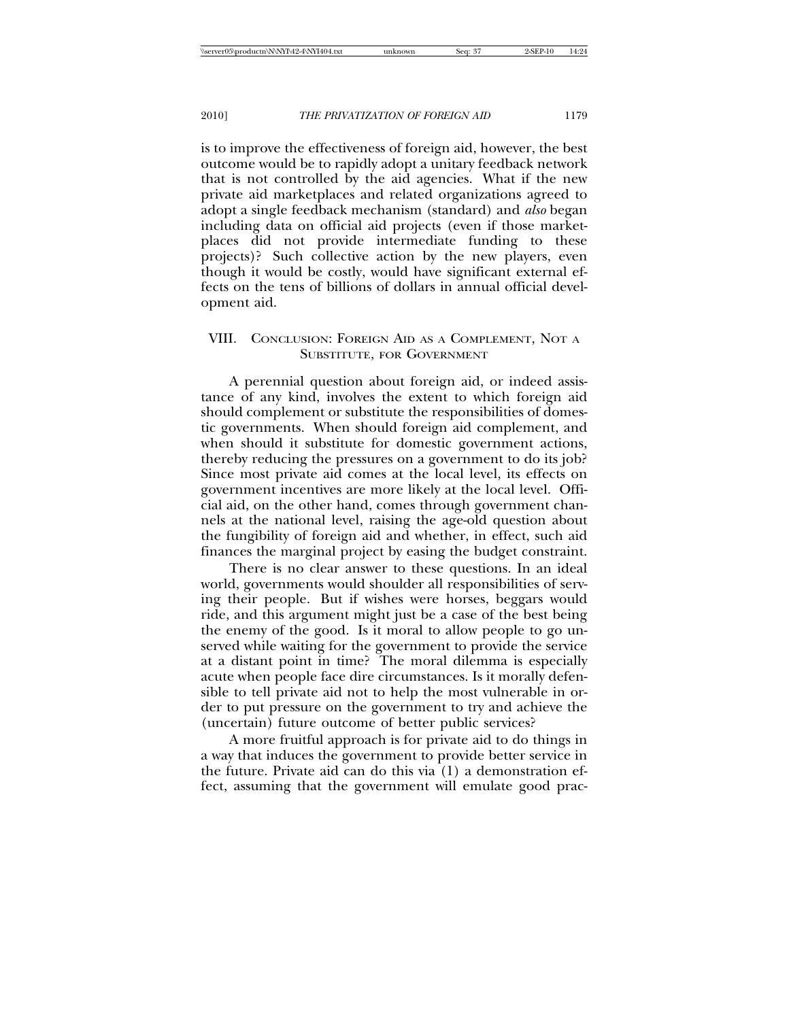is to improve the effectiveness of foreign aid, however, the best outcome would be to rapidly adopt a unitary feedback network that is not controlled by the aid agencies. What if the new private aid marketplaces and related organizations agreed to adopt a single feedback mechanism (standard) and *also* began including data on official aid projects (even if those marketplaces did not provide intermediate funding to these projects)? Such collective action by the new players, even though it would be costly, would have significant external effects on the tens of billions of dollars in annual official development aid.

## VIII. CONCLUSION: FOREIGN AID AS A COMPLEMENT, NOT A SUBSTITUTE, FOR GOVERNMENT

A perennial question about foreign aid, or indeed assistance of any kind, involves the extent to which foreign aid should complement or substitute the responsibilities of domestic governments. When should foreign aid complement, and when should it substitute for domestic government actions, thereby reducing the pressures on a government to do its job? Since most private aid comes at the local level, its effects on government incentives are more likely at the local level. Official aid, on the other hand, comes through government channels at the national level, raising the age-old question about the fungibility of foreign aid and whether, in effect, such aid finances the marginal project by easing the budget constraint.

There is no clear answer to these questions. In an ideal world, governments would shoulder all responsibilities of serving their people. But if wishes were horses, beggars would ride, and this argument might just be a case of the best being the enemy of the good. Is it moral to allow people to go unserved while waiting for the government to provide the service at a distant point in time? The moral dilemma is especially acute when people face dire circumstances. Is it morally defensible to tell private aid not to help the most vulnerable in order to put pressure on the government to try and achieve the (uncertain) future outcome of better public services?

A more fruitful approach is for private aid to do things in a way that induces the government to provide better service in the future. Private aid can do this via (1) a demonstration effect, assuming that the government will emulate good prac-